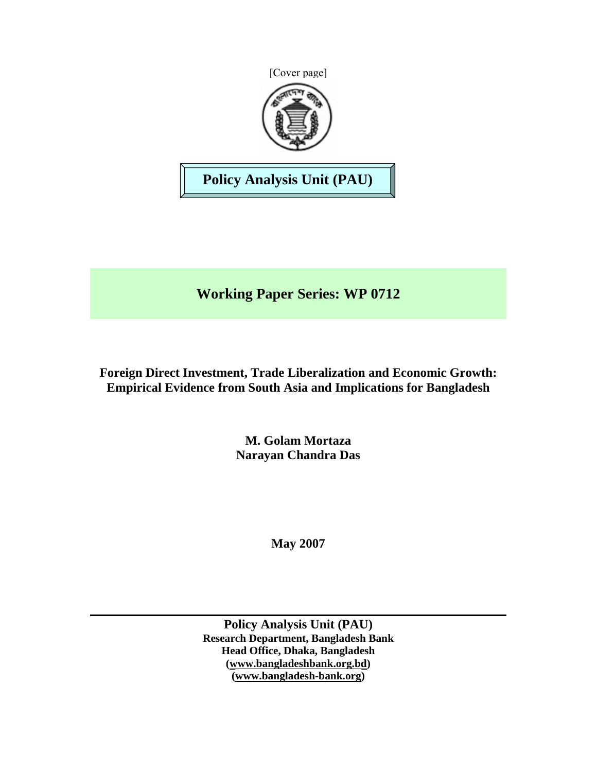

**Policy Analysis Unit (PAU)** 

**Working Paper Series: WP 0712** 

**Foreign Direct Investment, Trade Liberalization and Economic Growth: Empirical Evidence from South Asia and Implications for Bangladesh** 

> **M. Golam Mortaza Narayan Chandra Das**

> > **May 2007**

**Policy Analysis Unit (PAU) Research Department, Bangladesh Bank Head Office, Dhaka, Bangladesh (www.bangladeshbank.org.bd) (www.bangladesh-bank.org)**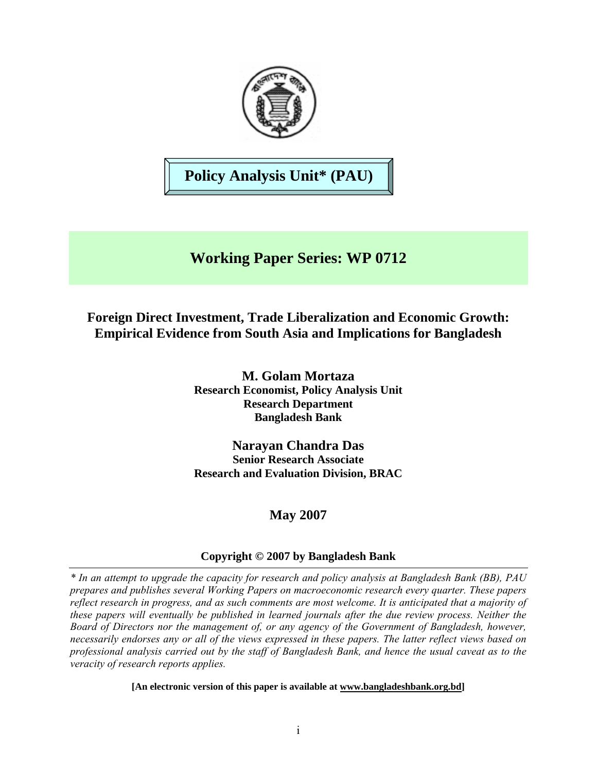

**Policy Analysis Unit\* (PAU)** 

# **Working Paper Series: WP 0712**

# **Foreign Direct Investment, Trade Liberalization and Economic Growth: Empirical Evidence from South Asia and Implications for Bangladesh**

**M. Golam Mortaza Research Economist, Policy Analysis Unit Research Department Bangladesh Bank** 

**Narayan Chandra Das Senior Research Associate Research and Evaluation Division, BRAC** 

# **May 2007**

# **Copyright © 2007 by Bangladesh Bank**

*\* In an attempt to upgrade the capacity for research and policy analysis at Bangladesh Bank (BB), PAU prepares and publishes several Working Papers on macroeconomic research every quarter. These papers reflect research in progress, and as such comments are most welcome. It is anticipated that a majority of these papers will eventually be published in learned journals after the due review process. Neither the Board of Directors nor the management of, or any agency of the Government of Bangladesh, however, necessarily endorses any or all of the views expressed in these papers. The latter reflect views based on professional analysis carried out by the staff of Bangladesh Bank, and hence the usual caveat as to the veracity of research reports applies.*

**[An electronic version of this paper is available at www.bangladeshbank.org.bd]**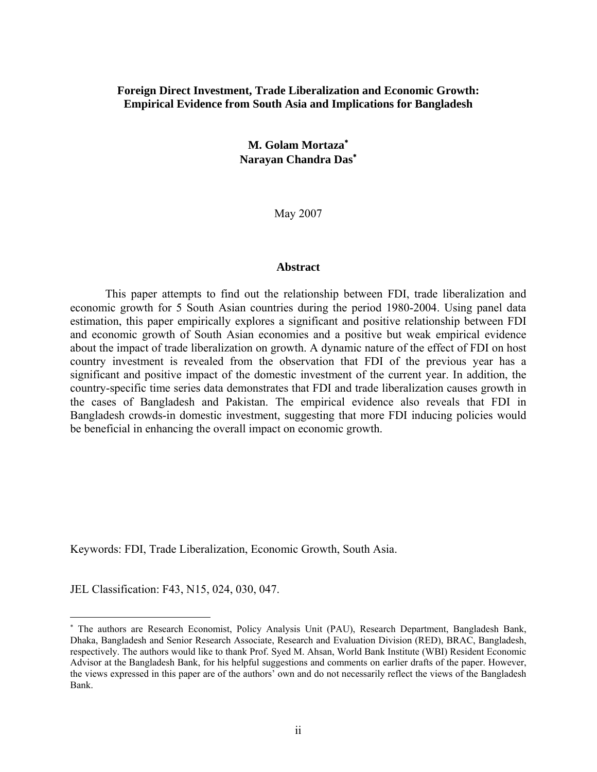#### **Foreign Direct Investment, Trade Liberalization and Economic Growth: Empirical Evidence from South Asia and Implications for Bangladesh**

**M. Golam Mortaza**<sup>∗</sup> **Narayan Chandra Das**<sup>∗</sup>

May 2007

#### **Abstract**

This paper attempts to find out the relationship between FDI, trade liberalization and economic growth for 5 South Asian countries during the period 1980-2004. Using panel data estimation, this paper empirically explores a significant and positive relationship between FDI and economic growth of South Asian economies and a positive but weak empirical evidence about the impact of trade liberalization on growth. A dynamic nature of the effect of FDI on host country investment is revealed from the observation that FDI of the previous year has a significant and positive impact of the domestic investment of the current year. In addition, the country-specific time series data demonstrates that FDI and trade liberalization causes growth in the cases of Bangladesh and Pakistan. The empirical evidence also reveals that FDI in Bangladesh crowds-in domestic investment, suggesting that more FDI inducing policies would be beneficial in enhancing the overall impact on economic growth.

Keywords: FDI, Trade Liberalization, Economic Growth, South Asia.

JEL Classification: F43, N15, 024, 030, 047.

 $\overline{a}$ 

<sup>∗</sup> The authors are Research Economist, Policy Analysis Unit (PAU), Research Department, Bangladesh Bank, Dhaka, Bangladesh and Senior Research Associate, Research and Evaluation Division (RED), BRAC, Bangladesh, respectively. The authors would like to thank Prof. Syed M. Ahsan, World Bank Institute (WBI) Resident Economic Advisor at the Bangladesh Bank, for his helpful suggestions and comments on earlier drafts of the paper. However, the views expressed in this paper are of the authors' own and do not necessarily reflect the views of the Bangladesh Bank.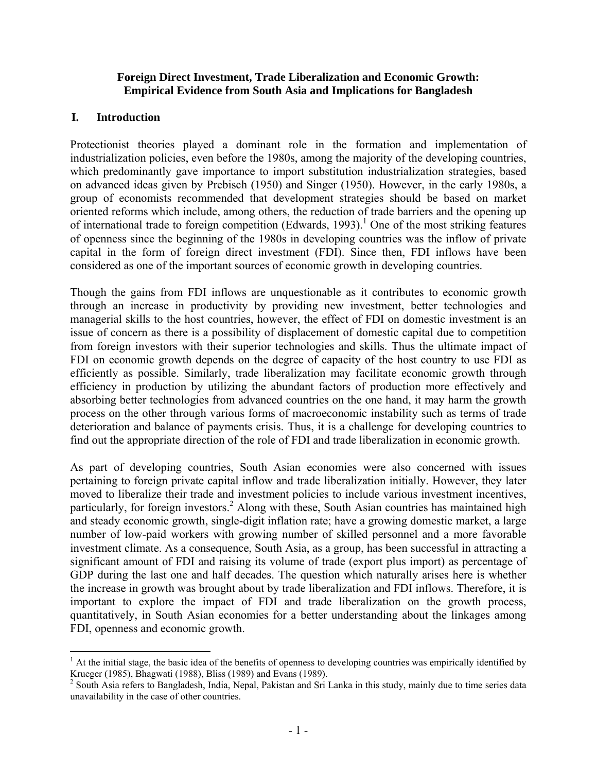### **Foreign Direct Investment, Trade Liberalization and Economic Growth: Empirical Evidence from South Asia and Implications for Bangladesh**

## **I. Introduction**

 $\overline{a}$ 

Protectionist theories played a dominant role in the formation and implementation of industrialization policies, even before the 1980s, among the majority of the developing countries, which predominantly gave importance to import substitution industrialization strategies, based on advanced ideas given by Prebisch (1950) and Singer (1950). However, in the early 1980s, a group of economists recommended that development strategies should be based on market oriented reforms which include, among others, the reduction of trade barriers and the opening up of international trade to foreign competition (Edwards, 1993).<sup>1</sup> One of the most striking features of openness since the beginning of the 1980s in developing countries was the inflow of private capital in the form of foreign direct investment (FDI). Since then, FDI inflows have been considered as one of the important sources of economic growth in developing countries.

Though the gains from FDI inflows are unquestionable as it contributes to economic growth through an increase in productivity by providing new investment, better technologies and managerial skills to the host countries, however, the effect of FDI on domestic investment is an issue of concern as there is a possibility of displacement of domestic capital due to competition from foreign investors with their superior technologies and skills. Thus the ultimate impact of FDI on economic growth depends on the degree of capacity of the host country to use FDI as efficiently as possible. Similarly, trade liberalization may facilitate economic growth through efficiency in production by utilizing the abundant factors of production more effectively and absorbing better technologies from advanced countries on the one hand, it may harm the growth process on the other through various forms of macroeconomic instability such as terms of trade deterioration and balance of payments crisis. Thus, it is a challenge for developing countries to find out the appropriate direction of the role of FDI and trade liberalization in economic growth.

As part of developing countries, South Asian economies were also concerned with issues pertaining to foreign private capital inflow and trade liberalization initially. However, they later moved to liberalize their trade and investment policies to include various investment incentives, particularly, for foreign investors.<sup>2</sup> Along with these, South Asian countries has maintained high and steady economic growth, single-digit inflation rate; have a growing domestic market, a large number of low-paid workers with growing number of skilled personnel and a more favorable investment climate. As a consequence, South Asia, as a group, has been successful in attracting a significant amount of FDI and raising its volume of trade (export plus import) as percentage of GDP during the last one and half decades. The question which naturally arises here is whether the increase in growth was brought about by trade liberalization and FDI inflows. Therefore, it is important to explore the impact of FDI and trade liberalization on the growth process, quantitatively, in South Asian economies for a better understanding about the linkages among FDI, openness and economic growth.

 $<sup>1</sup>$  At the initial stage, the basic idea of the benefits of openness to developing countries was empirically identified by</sup> Krueger (1985), Bhagwati (1988), Bliss (1989) and Evans (1989).

 $2^2$  South Asia refers to Bangladesh, India, Nepal, Pakistan and Sri Lanka in this study, mainly due to time series data unavailability in the case of other countries.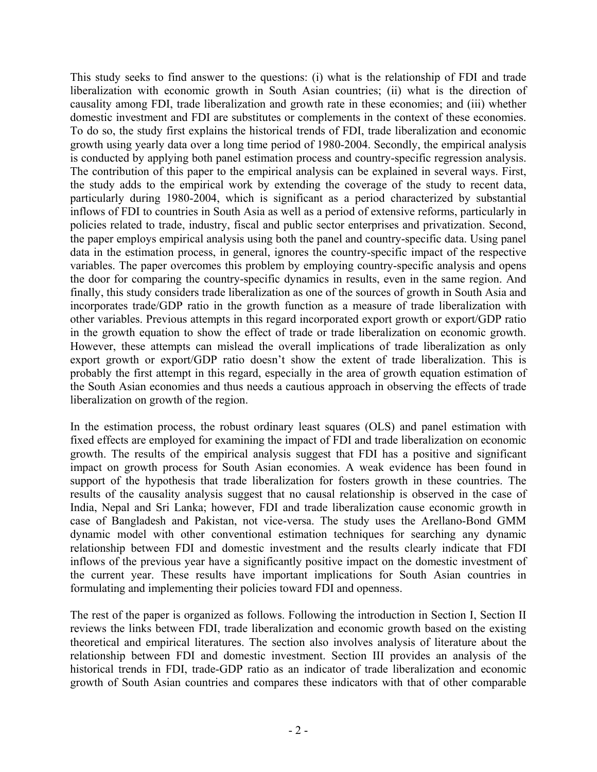This study seeks to find answer to the questions: (i) what is the relationship of FDI and trade liberalization with economic growth in South Asian countries; (ii) what is the direction of causality among FDI, trade liberalization and growth rate in these economies; and (iii) whether domestic investment and FDI are substitutes or complements in the context of these economies. To do so, the study first explains the historical trends of FDI, trade liberalization and economic growth using yearly data over a long time period of 1980-2004. Secondly, the empirical analysis is conducted by applying both panel estimation process and country-specific regression analysis. The contribution of this paper to the empirical analysis can be explained in several ways. First, the study adds to the empirical work by extending the coverage of the study to recent data, particularly during 1980-2004, which is significant as a period characterized by substantial inflows of FDI to countries in South Asia as well as a period of extensive reforms, particularly in policies related to trade, industry, fiscal and public sector enterprises and privatization. Second, the paper employs empirical analysis using both the panel and country-specific data. Using panel data in the estimation process, in general, ignores the country-specific impact of the respective variables. The paper overcomes this problem by employing country-specific analysis and opens the door for comparing the country-specific dynamics in results, even in the same region. And finally, this study considers trade liberalization as one of the sources of growth in South Asia and incorporates trade/GDP ratio in the growth function as a measure of trade liberalization with other variables. Previous attempts in this regard incorporated export growth or export/GDP ratio in the growth equation to show the effect of trade or trade liberalization on economic growth. However, these attempts can mislead the overall implications of trade liberalization as only export growth or export/GDP ratio doesn't show the extent of trade liberalization. This is probably the first attempt in this regard, especially in the area of growth equation estimation of the South Asian economies and thus needs a cautious approach in observing the effects of trade liberalization on growth of the region.

In the estimation process, the robust ordinary least squares (OLS) and panel estimation with fixed effects are employed for examining the impact of FDI and trade liberalization on economic growth. The results of the empirical analysis suggest that FDI has a positive and significant impact on growth process for South Asian economies. A weak evidence has been found in support of the hypothesis that trade liberalization for fosters growth in these countries. The results of the causality analysis suggest that no causal relationship is observed in the case of India, Nepal and Sri Lanka; however, FDI and trade liberalization cause economic growth in case of Bangladesh and Pakistan, not vice-versa. The study uses the Arellano-Bond GMM dynamic model with other conventional estimation techniques for searching any dynamic relationship between FDI and domestic investment and the results clearly indicate that FDI inflows of the previous year have a significantly positive impact on the domestic investment of the current year. These results have important implications for South Asian countries in formulating and implementing their policies toward FDI and openness.

The rest of the paper is organized as follows. Following the introduction in Section I, Section II reviews the links between FDI, trade liberalization and economic growth based on the existing theoretical and empirical literatures. The section also involves analysis of literature about the relationship between FDI and domestic investment. Section III provides an analysis of the historical trends in FDI, trade-GDP ratio as an indicator of trade liberalization and economic growth of South Asian countries and compares these indicators with that of other comparable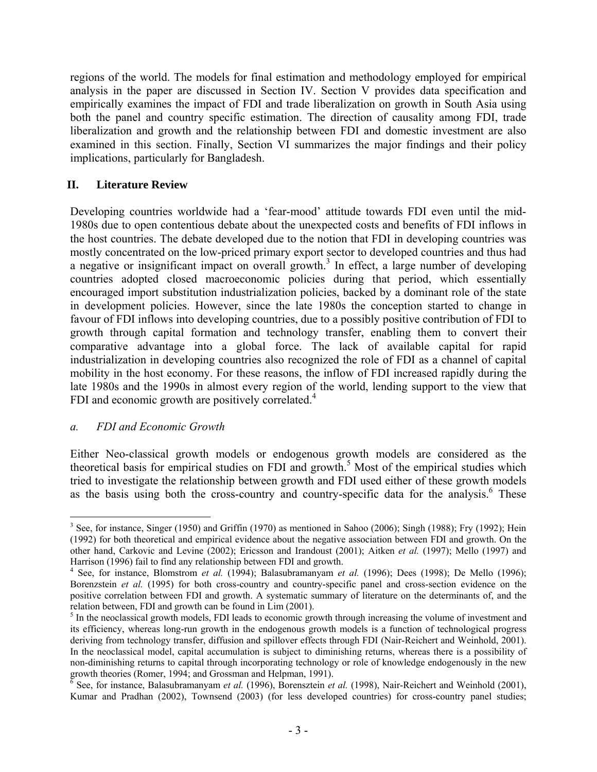regions of the world. The models for final estimation and methodology employed for empirical analysis in the paper are discussed in Section IV. Section V provides data specification and empirically examines the impact of FDI and trade liberalization on growth in South Asia using both the panel and country specific estimation. The direction of causality among FDI, trade liberalization and growth and the relationship between FDI and domestic investment are also examined in this section. Finally, Section VI summarizes the major findings and their policy implications, particularly for Bangladesh.

# **II. Literature Review**

Developing countries worldwide had a 'fear-mood' attitude towards FDI even until the mid-1980s due to open contentious debate about the unexpected costs and benefits of FDI inflows in the host countries. The debate developed due to the notion that FDI in developing countries was mostly concentrated on the low-priced primary export sector to developed countries and thus had a negative or insignificant impact on overall growth.<sup>3</sup> In effect, a large number of developing countries adopted closed macroeconomic policies during that period, which essentially encouraged import substitution industrialization policies, backed by a dominant role of the state in development policies. However, since the late 1980s the conception started to change in favour of FDI inflows into developing countries, due to a possibly positive contribution of FDI to growth through capital formation and technology transfer, enabling them to convert their comparative advantage into a global force. The lack of available capital for rapid industrialization in developing countries also recognized the role of FDI as a channel of capital mobility in the host economy. For these reasons, the inflow of FDI increased rapidly during the late 1980s and the 1990s in almost every region of the world, lending support to the view that FDI and economic growth are positively correlated.<sup>4</sup>

# *a. FDI and Economic Growth*

Either Neo-classical growth models or endogenous growth models are considered as the theoretical basis for empirical studies on FDI and growth.<sup>5</sup> Most of the empirical studies which tried to investigate the relationship between growth and FDI used either of these growth models as the basis using both the cross-country and country-specific data for the analysis.<sup>6</sup> These

<sup>1</sup>  $3$  See, for instance, Singer (1950) and Griffin (1970) as mentioned in Sahoo (2006); Singh (1988); Fry (1992); Hein (1992) for both theoretical and empirical evidence about the negative association between FDI and growth. On the other hand, Carkovic and Levine (2002); Ericsson and Irandoust (2001); Aitken *et al.* (1997); Mello (1997) and Harrison (1996) fail to find any relationship between FDI and growth.

<sup>&</sup>lt;sup>4</sup> See, for instance, Blomstrom *et al.* (1994); Balasubramanyam *et al.* (1996); Dees (1998); De Mello (1996); Borenzstein *et al.* (1995) for both cross-country and country-specific panel and cross-section evidence on the positive correlation between FDI and growth. A systematic summary of literature on the determinants of, and the relation between, FDI and growth can be found in Lim (2001).

<sup>&</sup>lt;sup>5</sup> In the neoclassical growth models, FDI leads to economic growth through increasing the volume of investment and its efficiency, whereas long-run growth in the endogenous growth models is a function of technological progress deriving from technology transfer, diffusion and spillover effects through FDI (Nair-Reichert and Weinhold, 2001). In the neoclassical model, capital accumulation is subject to diminishing returns, whereas there is a possibility of non-diminishing returns to capital through incorporating technology or role of knowledge endogenously in the new growth theories (Romer, 1994; and Grossman and Helpman, 1991).<br><sup>6</sup> See, for instance, Balasubramanyam *et al.* (1996), Borensztein *et al.* (1998), Nair-Reichert and Weinhold (2001),

Kumar and Pradhan (2002), Townsend (2003) (for less developed countries) for cross-country panel studies;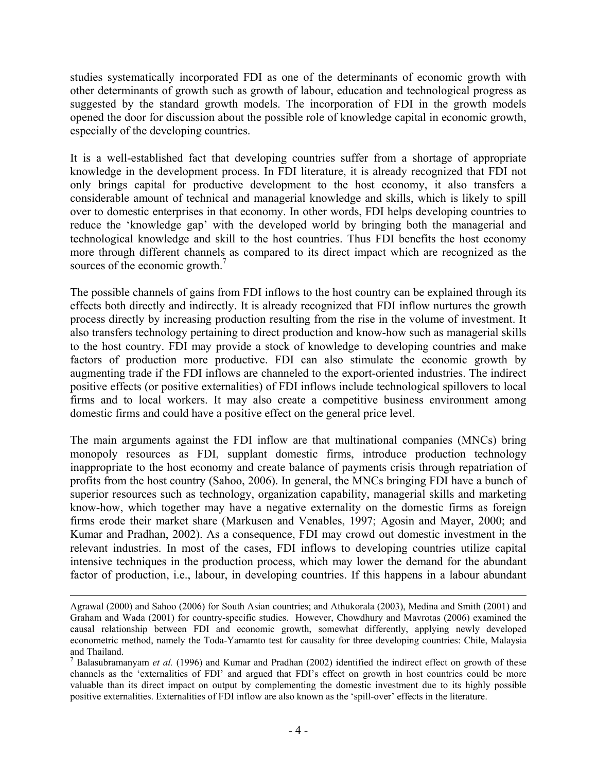studies systematically incorporated FDI as one of the determinants of economic growth with other determinants of growth such as growth of labour, education and technological progress as suggested by the standard growth models. The incorporation of FDI in the growth models opened the door for discussion about the possible role of knowledge capital in economic growth, especially of the developing countries.

It is a well-established fact that developing countries suffer from a shortage of appropriate knowledge in the development process. In FDI literature, it is already recognized that FDI not only brings capital for productive development to the host economy, it also transfers a considerable amount of technical and managerial knowledge and skills, which is likely to spill over to domestic enterprises in that economy. In other words, FDI helps developing countries to reduce the 'knowledge gap' with the developed world by bringing both the managerial and technological knowledge and skill to the host countries. Thus FDI benefits the host economy more through different channels as compared to its direct impact which are recognized as the sources of the economic growth.<sup>7</sup>

The possible channels of gains from FDI inflows to the host country can be explained through its effects both directly and indirectly. It is already recognized that FDI inflow nurtures the growth process directly by increasing production resulting from the rise in the volume of investment. It also transfers technology pertaining to direct production and know-how such as managerial skills to the host country. FDI may provide a stock of knowledge to developing countries and make factors of production more productive. FDI can also stimulate the economic growth by augmenting trade if the FDI inflows are channeled to the export-oriented industries. The indirect positive effects (or positive externalities) of FDI inflows include technological spillovers to local firms and to local workers. It may also create a competitive business environment among domestic firms and could have a positive effect on the general price level.

The main arguments against the FDI inflow are that multinational companies (MNCs) bring monopoly resources as FDI, supplant domestic firms, introduce production technology inappropriate to the host economy and create balance of payments crisis through repatriation of profits from the host country (Sahoo, 2006). In general, the MNCs bringing FDI have a bunch of superior resources such as technology, organization capability, managerial skills and marketing know-how, which together may have a negative externality on the domestic firms as foreign firms erode their market share (Markusen and Venables, 1997; Agosin and Mayer, 2000; and Kumar and Pradhan, 2002). As a consequence, FDI may crowd out domestic investment in the relevant industries. In most of the cases, FDI inflows to developing countries utilize capital intensive techniques in the production process, which may lower the demand for the abundant factor of production, i.e., labour, in developing countries. If this happens in a labour abundant

Agrawal (2000) and Sahoo (2006) for South Asian countries; and Athukorala (2003), Medina and Smith (2001) and Graham and Wada (2001) for country-specific studies. However, Chowdhury and Mavrotas (2006) examined the causal relationship between FDI and economic growth, somewhat differently, applying newly developed econometric method, namely the Toda-Yamamto test for causality for three developing countries: Chile, Malaysia and Thailand.

<sup>&</sup>lt;sup>7</sup> Balasubramanyam *et al.* (1996) and Kumar and Pradhan (2002) identified the indirect effect on growth of these channels as the 'externalities of FDI' and argued that FDI's effect on growth in host countries could be more valuable than its direct impact on output by complementing the domestic investment due to its highly possible positive externalities. Externalities of FDI inflow are also known as the 'spill-over' effects in the literature.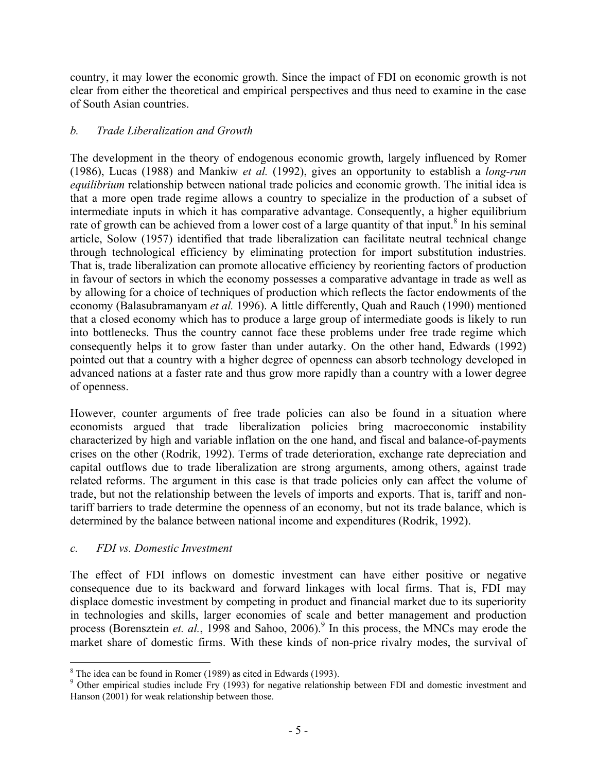country, it may lower the economic growth. Since the impact of FDI on economic growth is not clear from either the theoretical and empirical perspectives and thus need to examine in the case of South Asian countries.

# *b. Trade Liberalization and Growth*

The development in the theory of endogenous economic growth, largely influenced by Romer (1986), Lucas (1988) and Mankiw *et al.* (1992), gives an opportunity to establish a *long-run equilibrium* relationship between national trade policies and economic growth. The initial idea is that a more open trade regime allows a country to specialize in the production of a subset of intermediate inputs in which it has comparative advantage. Consequently, a higher equilibrium rate of growth can be achieved from a lower cost of a large quantity of that input.<sup>8</sup> In his seminal article, Solow (1957) identified that trade liberalization can facilitate neutral technical change through technological efficiency by eliminating protection for import substitution industries. That is, trade liberalization can promote allocative efficiency by reorienting factors of production in favour of sectors in which the economy possesses a comparative advantage in trade as well as by allowing for a choice of techniques of production which reflects the factor endowments of the economy (Balasubramanyam *et al.* 1996). A little differently, Quah and Rauch (1990) mentioned that a closed economy which has to produce a large group of intermediate goods is likely to run into bottlenecks. Thus the country cannot face these problems under free trade regime which consequently helps it to grow faster than under autarky. On the other hand, Edwards (1992) pointed out that a country with a higher degree of openness can absorb technology developed in advanced nations at a faster rate and thus grow more rapidly than a country with a lower degree of openness.

However, counter arguments of free trade policies can also be found in a situation where economists argued that trade liberalization policies bring macroeconomic instability characterized by high and variable inflation on the one hand, and fiscal and balance-of-payments crises on the other (Rodrik, 1992). Terms of trade deterioration, exchange rate depreciation and capital outflows due to trade liberalization are strong arguments, among others, against trade related reforms. The argument in this case is that trade policies only can affect the volume of trade, but not the relationship between the levels of imports and exports. That is, tariff and nontariff barriers to trade determine the openness of an economy, but not its trade balance, which is determined by the balance between national income and expenditures (Rodrik, 1992).

# *c. FDI vs. Domestic Investment*

The effect of FDI inflows on domestic investment can have either positive or negative consequence due to its backward and forward linkages with local firms. That is, FDI may displace domestic investment by competing in product and financial market due to its superiority in technologies and skills, larger economies of scale and better management and production process (Borensztein *et. al.*, 1998 and Sahoo, 2006).<sup>9</sup> In this process, the MNCs may erode the market share of domestic firms. With these kinds of non-price rivalry modes, the survival of

<sup>&</sup>lt;u>.</u>  $8$  The idea can be found in Romer (1989) as cited in Edwards (1993).

<sup>&</sup>lt;sup>9</sup> Other empirical studies include Fry (1993) for negative relationship between FDI and domestic investment and Hanson (2001) for weak relationship between those.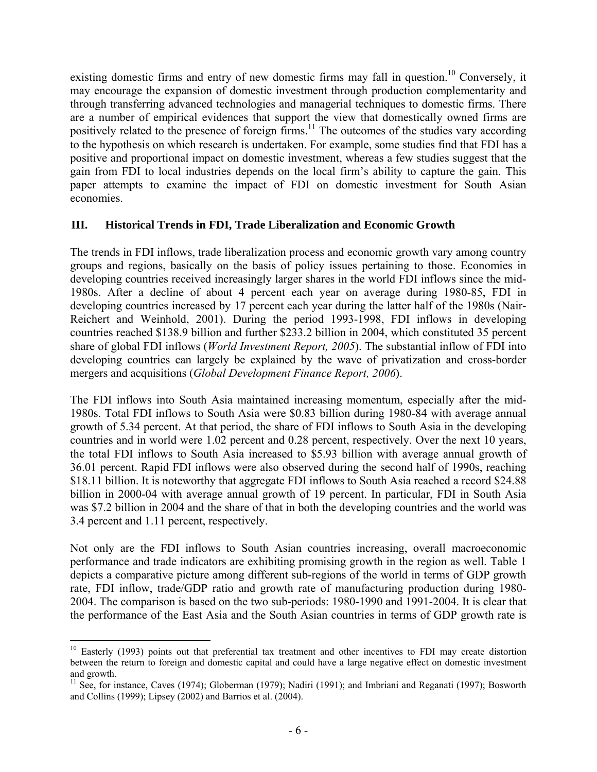existing domestic firms and entry of new domestic firms may fall in question.<sup>10</sup> Conversely, it may encourage the expansion of domestic investment through production complementarity and through transferring advanced technologies and managerial techniques to domestic firms. There are a number of empirical evidences that support the view that domestically owned firms are positively related to the presence of foreign firms.<sup>11</sup> The outcomes of the studies vary according to the hypothesis on which research is undertaken. For example, some studies find that FDI has a positive and proportional impact on domestic investment, whereas a few studies suggest that the gain from FDI to local industries depends on the local firm's ability to capture the gain. This paper attempts to examine the impact of FDI on domestic investment for South Asian economies.

# **III. Historical Trends in FDI, Trade Liberalization and Economic Growth**

The trends in FDI inflows, trade liberalization process and economic growth vary among country groups and regions, basically on the basis of policy issues pertaining to those. Economies in developing countries received increasingly larger shares in the world FDI inflows since the mid-1980s. After a decline of about 4 percent each year on average during 1980-85, FDI in developing countries increased by 17 percent each year during the latter half of the 1980s (Nair-Reichert and Weinhold, 2001). During the period 1993-1998, FDI inflows in developing countries reached \$138.9 billion and further \$233.2 billion in 2004, which constituted 35 percent share of global FDI inflows (*World Investment Report, 2005*). The substantial inflow of FDI into developing countries can largely be explained by the wave of privatization and cross-border mergers and acquisitions (*Global Development Finance Report, 2006*).

The FDI inflows into South Asia maintained increasing momentum, especially after the mid-1980s. Total FDI inflows to South Asia were \$0.83 billion during 1980-84 with average annual growth of 5.34 percent. At that period, the share of FDI inflows to South Asia in the developing countries and in world were 1.02 percent and 0.28 percent, respectively. Over the next 10 years, the total FDI inflows to South Asia increased to \$5.93 billion with average annual growth of 36.01 percent. Rapid FDI inflows were also observed during the second half of 1990s, reaching \$18.11 billion. It is noteworthy that aggregate FDI inflows to South Asia reached a record \$24.88 billion in 2000-04 with average annual growth of 19 percent. In particular, FDI in South Asia was \$7.2 billion in 2004 and the share of that in both the developing countries and the world was 3.4 percent and 1.11 percent, respectively.

Not only are the FDI inflows to South Asian countries increasing, overall macroeconomic performance and trade indicators are exhibiting promising growth in the region as well. Table 1 depicts a comparative picture among different sub-regions of the world in terms of GDP growth rate, FDI inflow, trade/GDP ratio and growth rate of manufacturing production during 1980- 2004. The comparison is based on the two sub-periods: 1980-1990 and 1991-2004. It is clear that the performance of the East Asia and the South Asian countries in terms of GDP growth rate is

 $\overline{a}$ 

<sup>&</sup>lt;sup>10</sup> Easterly (1993) points out that preferential tax treatment and other incentives to FDI may create distortion between the return to foreign and domestic capital and could have a large negative effect on domestic investment and growth.

<sup>&</sup>lt;sup>11</sup> See, for instance, Caves (1974); Globerman (1979); Nadiri (1991); and Imbriani and Reganati (1997); Bosworth and Collins (1999); Lipsey (2002) and Barrios et al. (2004).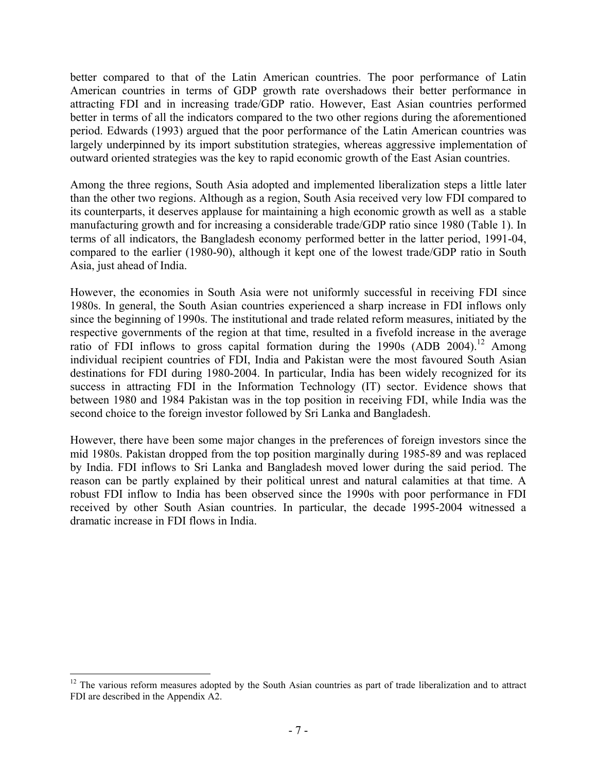better compared to that of the Latin American countries. The poor performance of Latin American countries in terms of GDP growth rate overshadows their better performance in attracting FDI and in increasing trade/GDP ratio. However, East Asian countries performed better in terms of all the indicators compared to the two other regions during the aforementioned period. Edwards (1993) argued that the poor performance of the Latin American countries was largely underpinned by its import substitution strategies, whereas aggressive implementation of outward oriented strategies was the key to rapid economic growth of the East Asian countries.

Among the three regions, South Asia adopted and implemented liberalization steps a little later than the other two regions. Although as a region, South Asia received very low FDI compared to its counterparts, it deserves applause for maintaining a high economic growth as well as a stable manufacturing growth and for increasing a considerable trade/GDP ratio since 1980 (Table 1). In terms of all indicators, the Bangladesh economy performed better in the latter period, 1991-04, compared to the earlier (1980-90), although it kept one of the lowest trade/GDP ratio in South Asia, just ahead of India.

However, the economies in South Asia were not uniformly successful in receiving FDI since 1980s. In general, the South Asian countries experienced a sharp increase in FDI inflows only since the beginning of 1990s. The institutional and trade related reform measures, initiated by the respective governments of the region at that time, resulted in a fivefold increase in the average ratio of FDI inflows to gross capital formation during the 1990s (ADB 2004).<sup>12</sup> Among individual recipient countries of FDI, India and Pakistan were the most favoured South Asian destinations for FDI during 1980-2004. In particular, India has been widely recognized for its success in attracting FDI in the Information Technology (IT) sector. Evidence shows that between 1980 and 1984 Pakistan was in the top position in receiving FDI, while India was the second choice to the foreign investor followed by Sri Lanka and Bangladesh.

However, there have been some major changes in the preferences of foreign investors since the mid 1980s. Pakistan dropped from the top position marginally during 1985-89 and was replaced by India. FDI inflows to Sri Lanka and Bangladesh moved lower during the said period. The reason can be partly explained by their political unrest and natural calamities at that time. A robust FDI inflow to India has been observed since the 1990s with poor performance in FDI received by other South Asian countries. In particular, the decade 1995-2004 witnessed a dramatic increase in FDI flows in India.

1

 $12$  The various reform measures adopted by the South Asian countries as part of trade liberalization and to attract FDI are described in the Appendix A2.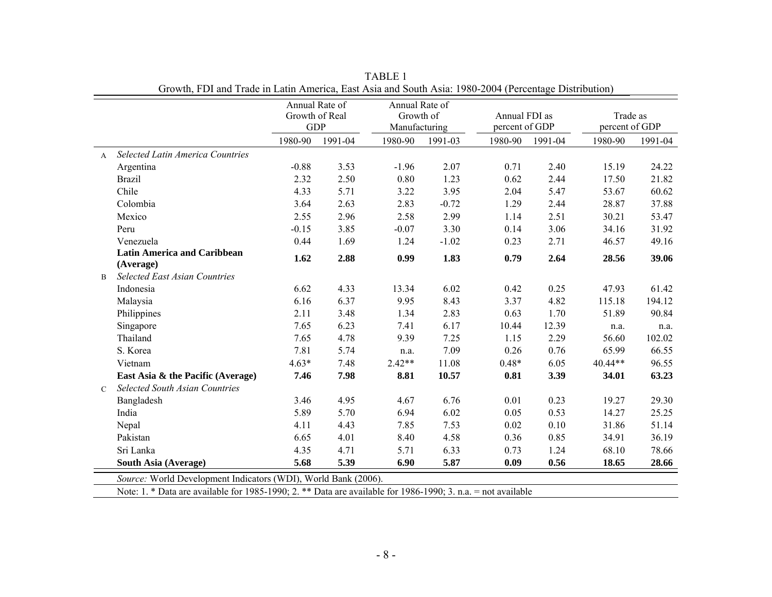|                |                                         | Annual Rate of               |         | Annual Rate of             |         |                                 |         |                            |         |
|----------------|-----------------------------------------|------------------------------|---------|----------------------------|---------|---------------------------------|---------|----------------------------|---------|
|                |                                         | Growth of Real<br><b>GDP</b> |         | Growth of<br>Manufacturing |         | Annual FDI as<br>percent of GDP |         | Trade as<br>percent of GDP |         |
|                |                                         | 1980-90                      | 1991-04 | 1980-90                    | 1991-03 | 1980-90                         | 1991-04 | 1980-90                    | 1991-04 |
| $\mathsf{A}$   | <b>Selected Latin America Countries</b> |                              |         |                            |         |                                 |         |                            |         |
|                | Argentina                               | $-0.88$                      | 3.53    | $-1.96$                    | 2.07    | 0.71                            | 2.40    | 15.19                      | 24.22   |
|                | <b>Brazil</b>                           | 2.32                         | 2.50    | 0.80                       | 1.23    | 0.62                            | 2.44    | 17.50                      | 21.82   |
|                | Chile                                   | 4.33                         | 5.71    | 3.22                       | 3.95    | 2.04                            | 5.47    | 53.67                      | 60.62   |
|                | Colombia                                | 3.64                         | 2.63    | 2.83                       | $-0.72$ | 1.29                            | 2.44    | 28.87                      | 37.88   |
|                | Mexico                                  | 2.55                         | 2.96    | 2.58                       | 2.99    | 1.14                            | 2.51    | 30.21                      | 53.47   |
|                | Peru                                    | $-0.15$                      | 3.85    | $-0.07$                    | 3.30    | 0.14                            | 3.06    | 34.16                      | 31.92   |
|                | Venezuela                               | 0.44                         | 1.69    | 1.24                       | $-1.02$ | 0.23                            | 2.71    | 46.57                      | 49.16   |
|                | <b>Latin America and Caribbean</b>      | 1.62                         | 2.88    | 0.99                       | 1.83    | 0.79                            | 2.64    | 28.56                      | 39.06   |
|                | (Average)                               |                              |         |                            |         |                                 |         |                            |         |
| $\overline{B}$ | <b>Selected East Asian Countries</b>    |                              |         |                            |         |                                 |         |                            |         |
|                | Indonesia                               | 6.62                         | 4.33    | 13.34                      | 6.02    | 0.42                            | 0.25    | 47.93                      | 61.42   |
|                | Malaysia                                | 6.16                         | 6.37    | 9.95                       | 8.43    | 3.37                            | 4.82    | 115.18                     | 194.12  |
|                | Philippines                             | 2.11                         | 3.48    | 1.34                       | 2.83    | 0.63                            | 1.70    | 51.89                      | 90.84   |
|                | Singapore                               | 7.65                         | 6.23    | 7.41                       | 6.17    | 10.44                           | 12.39   | n.a.                       | n.a.    |
|                | Thailand                                | 7.65                         | 4.78    | 9.39                       | 7.25    | 1.15                            | 2.29    | 56.60                      | 102.02  |
|                | S. Korea                                | 7.81                         | 5.74    | n.a.                       | 7.09    | 0.26                            | 0.76    | 65.99                      | 66.55   |
|                | Vietnam                                 | $4.63*$                      | 7.48    | $2.42**$                   | 11.08   | $0.48*$                         | 6.05    | 40.44**                    | 96.55   |
|                | East Asia & the Pacific (Average)       | 7.46                         | 7.98    | 8.81                       | 10.57   | 0.81                            | 3.39    | 34.01                      | 63.23   |
| $\mathcal{C}$  | <b>Selected South Asian Countries</b>   |                              |         |                            |         |                                 |         |                            |         |
|                | Bangladesh                              | 3.46                         | 4.95    | 4.67                       | 6.76    | 0.01                            | 0.23    | 19.27                      | 29.30   |
|                | India                                   | 5.89                         | 5.70    | 6.94                       | 6.02    | 0.05                            | 0.53    | 14.27                      | 25.25   |
|                | Nepal                                   | 4.11                         | 4.43    | 7.85                       | 7.53    | 0.02                            | 0.10    | 31.86                      | 51.14   |
|                | Pakistan                                | 6.65                         | 4.01    | 8.40                       | 4.58    | 0.36                            | 0.85    | 34.91                      | 36.19   |
|                | Sri Lanka                               | 4.35                         | 4.71    | 5.71                       | 6.33    | 0.73                            | 1.24    | 68.10                      | 78.66   |
|                | South Asia (Average)                    | 5.68                         | 5.39    | 6.90                       | 5.87    | 0.09                            | 0.56    | 18.65                      | 28.66   |

TABLE 1 Growth, FDI and Trade in Latin America, East Asia and South Asia: 1980-2004 (Percentage Distribution)

*Source:* World Development Indicators (WDI), World Bank (2006).

Note: 1. \* Data are available for 1985-1990; 2. \*\* Data are available for 1986-1990; 3. n.a. = not available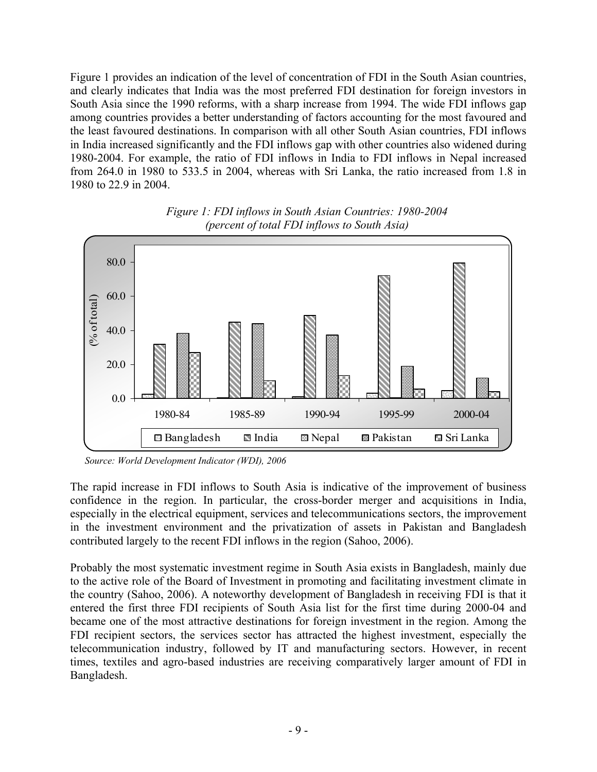Figure 1 provides an indication of the level of concentration of FDI in the South Asian countries, and clearly indicates that India was the most preferred FDI destination for foreign investors in South Asia since the 1990 reforms, with a sharp increase from 1994. The wide FDI inflows gap among countries provides a better understanding of factors accounting for the most favoured and the least favoured destinations. In comparison with all other South Asian countries, FDI inflows in India increased significantly and the FDI inflows gap with other countries also widened during 1980-2004. For example, the ratio of FDI inflows in India to FDI inflows in Nepal increased from 264.0 in 1980 to 533.5 in 2004, whereas with Sri Lanka, the ratio increased from 1.8 in 1980 to 22.9 in 2004.



*Figure 1: FDI inflows in South Asian Countries: 1980-2004 (percent of total FDI inflows to South Asia)* 

 *Source: World Development Indicator (WDI), 2006*

The rapid increase in FDI inflows to South Asia is indicative of the improvement of business confidence in the region. In particular, the cross-border merger and acquisitions in India, especially in the electrical equipment, services and telecommunications sectors, the improvement in the investment environment and the privatization of assets in Pakistan and Bangladesh contributed largely to the recent FDI inflows in the region (Sahoo, 2006).

Probably the most systematic investment regime in South Asia exists in Bangladesh, mainly due to the active role of the Board of Investment in promoting and facilitating investment climate in the country (Sahoo, 2006). A noteworthy development of Bangladesh in receiving FDI is that it entered the first three FDI recipients of South Asia list for the first time during 2000-04 and became one of the most attractive destinations for foreign investment in the region. Among the FDI recipient sectors, the services sector has attracted the highest investment, especially the telecommunication industry, followed by IT and manufacturing sectors. However, in recent times, textiles and agro-based industries are receiving comparatively larger amount of FDI in Bangladesh.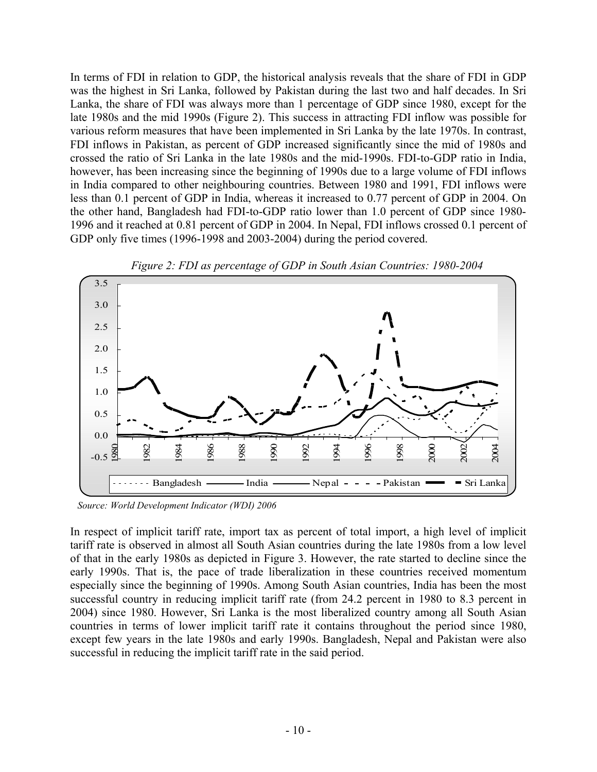In terms of FDI in relation to GDP, the historical analysis reveals that the share of FDI in GDP was the highest in Sri Lanka, followed by Pakistan during the last two and half decades. In Sri Lanka, the share of FDI was always more than 1 percentage of GDP since 1980, except for the late 1980s and the mid 1990s (Figure 2). This success in attracting FDI inflow was possible for various reform measures that have been implemented in Sri Lanka by the late 1970s. In contrast, FDI inflows in Pakistan, as percent of GDP increased significantly since the mid of 1980s and crossed the ratio of Sri Lanka in the late 1980s and the mid-1990s. FDI-to-GDP ratio in India, however, has been increasing since the beginning of 1990s due to a large volume of FDI inflows in India compared to other neighbouring countries. Between 1980 and 1991, FDI inflows were less than 0.1 percent of GDP in India, whereas it increased to 0.77 percent of GDP in 2004. On the other hand, Bangladesh had FDI-to-GDP ratio lower than 1.0 percent of GDP since 1980- 1996 and it reached at 0.81 percent of GDP in 2004. In Nepal, FDI inflows crossed 0.1 percent of GDP only five times (1996-1998 and 2003-2004) during the period covered.





 *Source: World Development Indicator (WDI) 2006*

In respect of implicit tariff rate, import tax as percent of total import, a high level of implicit tariff rate is observed in almost all South Asian countries during the late 1980s from a low level of that in the early 1980s as depicted in Figure 3. However, the rate started to decline since the early 1990s. That is, the pace of trade liberalization in these countries received momentum especially since the beginning of 1990s. Among South Asian countries, India has been the most successful country in reducing implicit tariff rate (from 24.2 percent in 1980 to 8.3 percent in 2004) since 1980. However, Sri Lanka is the most liberalized country among all South Asian countries in terms of lower implicit tariff rate it contains throughout the period since 1980, except few years in the late 1980s and early 1990s. Bangladesh, Nepal and Pakistan were also successful in reducing the implicit tariff rate in the said period.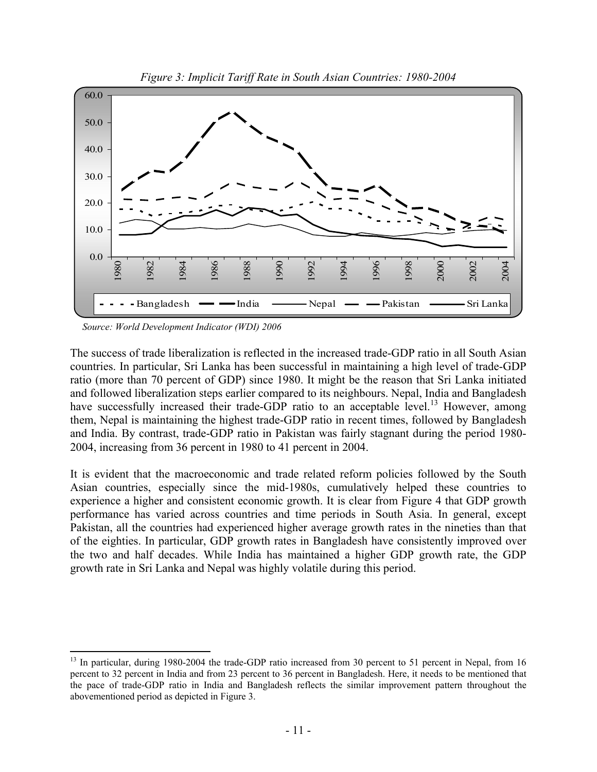

*Figure 3: Implicit Tariff Rate in South Asian Countries: 1980-2004* 

*Source: World Development Indicator (WDI) 2006*

 $\overline{a}$ 

The success of trade liberalization is reflected in the increased trade-GDP ratio in all South Asian countries. In particular, Sri Lanka has been successful in maintaining a high level of trade-GDP ratio (more than 70 percent of GDP) since 1980. It might be the reason that Sri Lanka initiated and followed liberalization steps earlier compared to its neighbours. Nepal, India and Bangladesh have successfully increased their trade-GDP ratio to an acceptable level.<sup>13</sup> However, among them, Nepal is maintaining the highest trade-GDP ratio in recent times, followed by Bangladesh and India. By contrast, trade-GDP ratio in Pakistan was fairly stagnant during the period 1980- 2004, increasing from 36 percent in 1980 to 41 percent in 2004.

It is evident that the macroeconomic and trade related reform policies followed by the South Asian countries, especially since the mid-1980s, cumulatively helped these countries to experience a higher and consistent economic growth. It is clear from Figure 4 that GDP growth performance has varied across countries and time periods in South Asia. In general, except Pakistan, all the countries had experienced higher average growth rates in the nineties than that of the eighties. In particular, GDP growth rates in Bangladesh have consistently improved over the two and half decades. While India has maintained a higher GDP growth rate, the GDP growth rate in Sri Lanka and Nepal was highly volatile during this period.

<sup>&</sup>lt;sup>13</sup> In particular, during 1980-2004 the trade-GDP ratio increased from 30 percent to 51 percent in Nepal, from 16 percent to 32 percent in India and from 23 percent to 36 percent in Bangladesh. Here, it needs to be mentioned that the pace of trade-GDP ratio in India and Bangladesh reflects the similar improvement pattern throughout the abovementioned period as depicted in Figure 3.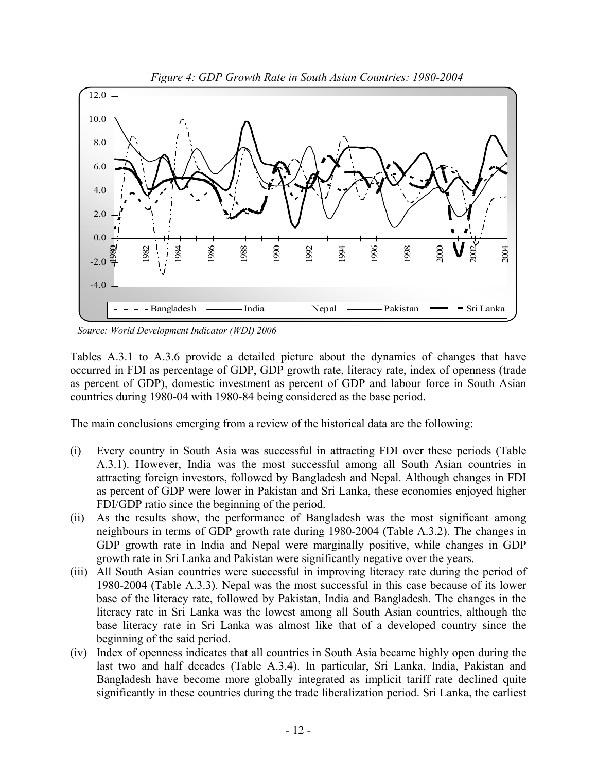

 *Source: World Development Indicator (WDI) 2006*

Tables A.3.1 to A.3.6 provide a detailed picture about the dynamics of changes that have occurred in FDI as percentage of GDP, GDP growth rate, literacy rate, index of openness (trade as percent of GDP), domestic investment as percent of GDP and labour force in South Asian countries during 1980-04 with 1980-84 being considered as the base period.

The main conclusions emerging from a review of the historical data are the following:

- (i) Every country in South Asia was successful in attracting FDI over these periods (Table A.3.1). However, India was the most successful among all South Asian countries in attracting foreign investors, followed by Bangladesh and Nepal. Although changes in FDI as percent of GDP were lower in Pakistan and Sri Lanka, these economies enjoyed higher FDI/GDP ratio since the beginning of the period.
- (ii) As the results show, the performance of Bangladesh was the most significant among neighbours in terms of GDP growth rate during 1980-2004 (Table A.3.2). The changes in GDP growth rate in India and Nepal were marginally positive, while changes in GDP growth rate in Sri Lanka and Pakistan were significantly negative over the years.
- (iii) All South Asian countries were successful in improving literacy rate during the period of 1980-2004 (Table A.3.3). Nepal was the most successful in this case because of its lower base of the literacy rate, followed by Pakistan, India and Bangladesh. The changes in the literacy rate in Sri Lanka was the lowest among all South Asian countries, although the base literacy rate in Sri Lanka was almost like that of a developed country since the beginning of the said period.
- (iv) Index of openness indicates that all countries in South Asia became highly open during the last two and half decades (Table A.3.4). In particular, Sri Lanka, India, Pakistan and Bangladesh have become more globally integrated as implicit tariff rate declined quite significantly in these countries during the trade liberalization period. Sri Lanka, the earliest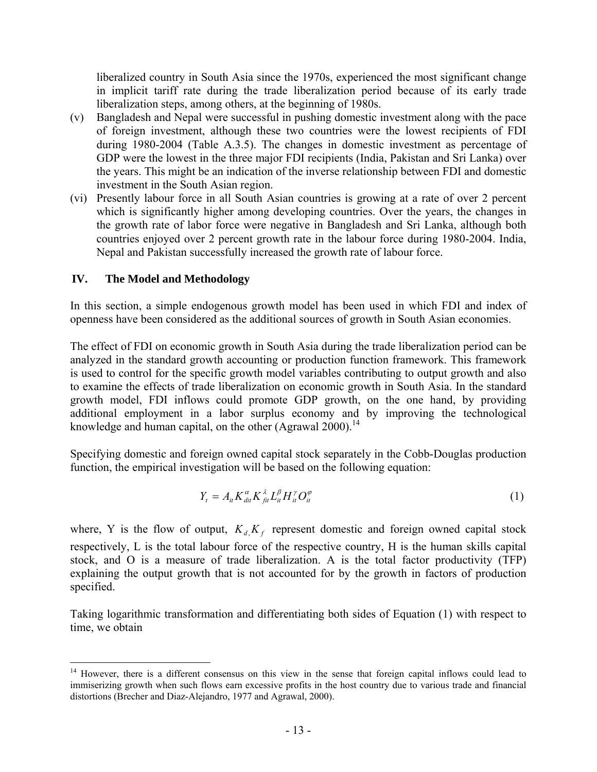liberalized country in South Asia since the 1970s, experienced the most significant change in implicit tariff rate during the trade liberalization period because of its early trade liberalization steps, among others, at the beginning of 1980s.

- (v) Bangladesh and Nepal were successful in pushing domestic investment along with the pace of foreign investment, although these two countries were the lowest recipients of FDI during 1980-2004 (Table A.3.5). The changes in domestic investment as percentage of GDP were the lowest in the three major FDI recipients (India, Pakistan and Sri Lanka) over the years. This might be an indication of the inverse relationship between FDI and domestic investment in the South Asian region.
- (vi) Presently labour force in all South Asian countries is growing at a rate of over 2 percent which is significantly higher among developing countries. Over the years, the changes in the growth rate of labor force were negative in Bangladesh and Sri Lanka, although both countries enjoyed over 2 percent growth rate in the labour force during 1980-2004. India, Nepal and Pakistan successfully increased the growth rate of labour force.

# **IV. The Model and Methodology**

 $\overline{a}$ 

In this section, a simple endogenous growth model has been used in which FDI and index of openness have been considered as the additional sources of growth in South Asian economies.

The effect of FDI on economic growth in South Asia during the trade liberalization period can be analyzed in the standard growth accounting or production function framework. This framework is used to control for the specific growth model variables contributing to output growth and also to examine the effects of trade liberalization on economic growth in South Asia. In the standard growth model, FDI inflows could promote GDP growth, on the one hand, by providing additional employment in a labor surplus economy and by improving the technological knowledge and human capital, on the other (Agrawal 2000).<sup>14</sup>

Specifying domestic and foreign owned capital stock separately in the Cobb-Douglas production function, the empirical investigation will be based on the following equation:

$$
Y_t = A_{it} K_{di}^{\alpha} K_{ft}^{\lambda} L_{it}^{\beta} H_{it}^{\gamma} O_{it}^{\varphi}
$$
 (1)

where, Y is the flow of output,  $K_d K_f$  represent domestic and foreign owned capital stock respectively, L is the total labour force of the respective country, H is the human skills capital stock, and O is a measure of trade liberalization. A is the total factor productivity (TFP) explaining the output growth that is not accounted for by the growth in factors of production specified.

Taking logarithmic transformation and differentiating both sides of Equation (1) with respect to time, we obtain

<sup>&</sup>lt;sup>14</sup> However, there is a different consensus on this view in the sense that foreign capital inflows could lead to immiserizing growth when such flows earn excessive profits in the host country due to various trade and financial distortions (Brecher and Diaz-Alejandro, 1977 and Agrawal, 2000).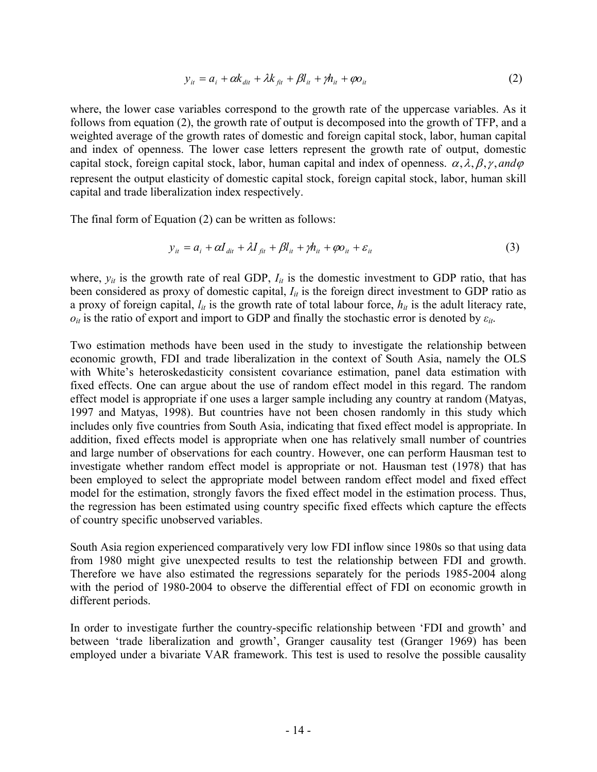$$
y_{it} = a_i + \alpha k_{dit} + \lambda k_{fit} + \beta l_{it} + \gamma h_{it} + \varphi o_{it}
$$
 (2)

where, the lower case variables correspond to the growth rate of the uppercase variables. As it follows from equation (2), the growth rate of output is decomposed into the growth of TFP, and a weighted average of the growth rates of domestic and foreign capital stock, labor, human capital and index of openness. The lower case letters represent the growth rate of output, domestic capital stock, foreign capital stock, labor, human capital and index of openness.  $\alpha$ ,  $\lambda$ ,  $\beta$ ,  $\gamma$ , and  $\varphi$ represent the output elasticity of domestic capital stock, foreign capital stock, labor, human skill capital and trade liberalization index respectively.

The final form of Equation (2) can be written as follows:

$$
y_{it} = a_i + \alpha I_{dit} + \lambda I_{fit} + \beta I_{it} + \gamma h_{it} + \varphi o_{it} + \varepsilon_{it}
$$
\n(3)

where,  $y_{it}$  is the growth rate of real GDP,  $I_{it}$  is the domestic investment to GDP ratio, that has been considered as proxy of domestic capital,  $I_{it}$  is the foreign direct investment to GDP ratio as a proxy of foreign capital,  $l_{it}$  is the growth rate of total labour force,  $h_{it}$  is the adult literacy rate, *oit* is the ratio of export and import to GDP and finally the stochastic error is denoted by *εit*.

Two estimation methods have been used in the study to investigate the relationship between economic growth, FDI and trade liberalization in the context of South Asia, namely the OLS with White's heteroskedasticity consistent covariance estimation, panel data estimation with fixed effects. One can argue about the use of random effect model in this regard. The random effect model is appropriate if one uses a larger sample including any country at random (Matyas, 1997 and Matyas, 1998). But countries have not been chosen randomly in this study which includes only five countries from South Asia, indicating that fixed effect model is appropriate. In addition, fixed effects model is appropriate when one has relatively small number of countries and large number of observations for each country. However, one can perform Hausman test to investigate whether random effect model is appropriate or not. Hausman test (1978) that has been employed to select the appropriate model between random effect model and fixed effect model for the estimation, strongly favors the fixed effect model in the estimation process. Thus, the regression has been estimated using country specific fixed effects which capture the effects of country specific unobserved variables.

South Asia region experienced comparatively very low FDI inflow since 1980s so that using data from 1980 might give unexpected results to test the relationship between FDI and growth. Therefore we have also estimated the regressions separately for the periods 1985-2004 along with the period of 1980-2004 to observe the differential effect of FDI on economic growth in different periods.

In order to investigate further the country-specific relationship between 'FDI and growth' and between 'trade liberalization and growth', Granger causality test (Granger 1969) has been employed under a bivariate VAR framework. This test is used to resolve the possible causality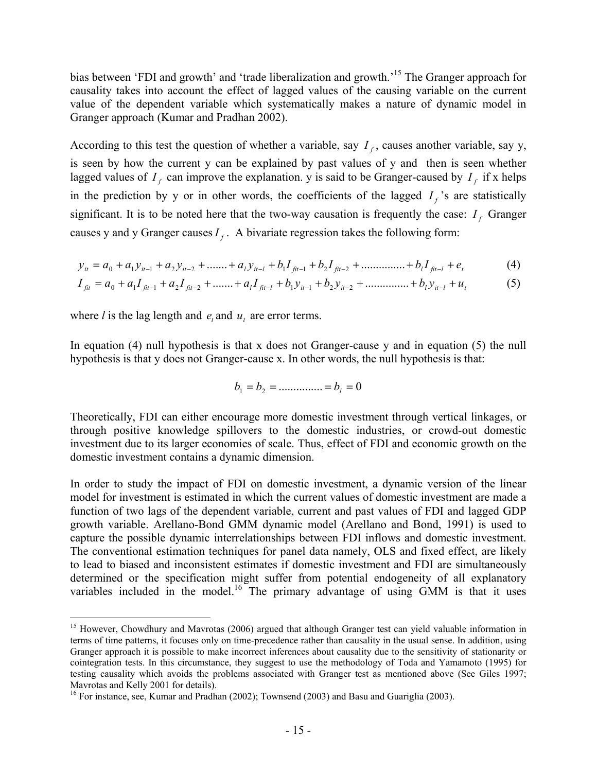bias between 'FDI and growth' and 'trade liberalization and growth.'<sup>15</sup> The Granger approach for causality takes into account the effect of lagged values of the causing variable on the current value of the dependent variable which systematically makes a nature of dynamic model in Granger approach (Kumar and Pradhan 2002).

According to this test the question of whether a variable, say  $I_f$ , causes another variable, say y, is seen by how the current y can be explained by past values of y and then is seen whether lagged values of  $I_f$  can improve the explanation. y is said to be Granger-caused by  $I_f$  if x helps in the prediction by y or in other words, the coefficients of the lagged  $I_f$ 's are statistically significant. It is to be noted here that the two-way causation is frequently the case:  $I_f$  Granger causes y and y Granger causes  $I_f$ . A bivariate regression takes the following form:

$$
y_{it} = a_0 + a_1 y_{it-1} + a_2 y_{it-2} + \dots + a_l y_{it-l} + b_l I_{\hat{f}^{it-1}} + b_2 I_{\hat{f}^{it-2}} + \dots + b_l I_{\hat{f}^{it-1}} + e_t
$$
 (4)

$$
I_{\hat{f}t} = a_0 + a_1 I_{\hat{f}t-1} + a_2 I_{\hat{f}t-2} + \dots + a_l I_{\hat{f}t-l} + b_1 y_{it-1} + b_2 y_{it-2} + \dots + b_l y_{it-l} + u_t
$$
 (5)

where *l* is the lag length and  $e_t$  and  $u_t$  are error terms.

 $\overline{a}$ 

In equation (4) null hypothesis is that x does not Granger-cause y and in equation (5) the null hypothesis is that y does not Granger-cause x. In other words, the null hypothesis is that:

$$
b_1 = b_2 = \dots \dots \dots \dots = b_l = 0
$$

Theoretically, FDI can either encourage more domestic investment through vertical linkages, or through positive knowledge spillovers to the domestic industries, or crowd-out domestic investment due to its larger economies of scale. Thus, effect of FDI and economic growth on the domestic investment contains a dynamic dimension.

In order to study the impact of FDI on domestic investment, a dynamic version of the linear model for investment is estimated in which the current values of domestic investment are made a function of two lags of the dependent variable, current and past values of FDI and lagged GDP growth variable. Arellano-Bond GMM dynamic model (Arellano and Bond, 1991) is used to capture the possible dynamic interrelationships between FDI inflows and domestic investment. The conventional estimation techniques for panel data namely, OLS and fixed effect, are likely to lead to biased and inconsistent estimates if domestic investment and FDI are simultaneously determined or the specification might suffer from potential endogeneity of all explanatory variables included in the model.<sup>16</sup> The primary advantage of using GMM is that it uses

<sup>&</sup>lt;sup>15</sup> However, Chowdhury and Mavrotas (2006) argued that although Granger test can yield valuable information in terms of time patterns, it focuses only on time-precedence rather than causality in the usual sense. In addition, using Granger approach it is possible to make incorrect inferences about causality due to the sensitivity of stationarity or cointegration tests. In this circumstance, they suggest to use the methodology of Toda and Yamamoto (1995) for testing causality which avoids the problems associated with Granger test as mentioned above (See Giles 1997; Mavrotas and Kelly 2001 for details).

<sup>&</sup>lt;sup>16</sup> For instance, see, Kumar and Pradhan (2002); Townsend (2003) and Basu and Guariglia (2003).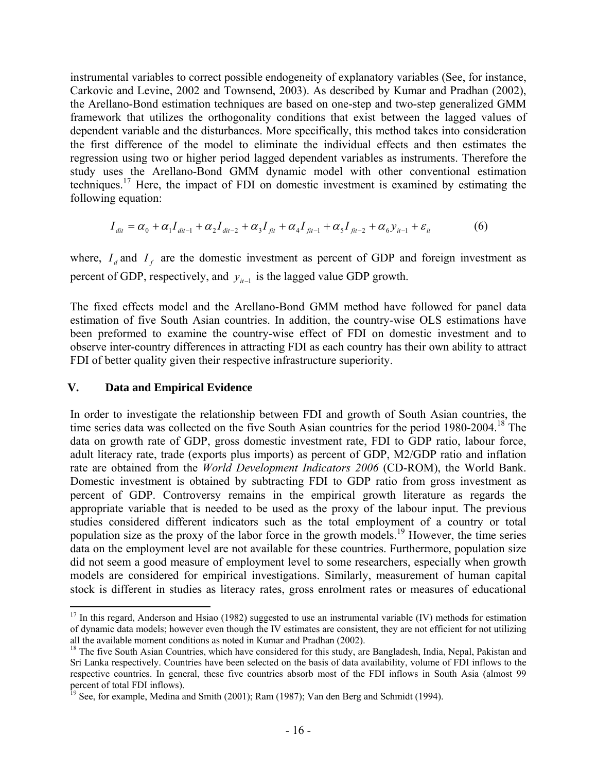instrumental variables to correct possible endogeneity of explanatory variables (See, for instance, Carkovic and Levine, 2002 and Townsend, 2003). As described by Kumar and Pradhan (2002), the Arellano-Bond estimation techniques are based on one-step and two-step generalized GMM framework that utilizes the orthogonality conditions that exist between the lagged values of dependent variable and the disturbances. More specifically, this method takes into consideration the first difference of the model to eliminate the individual effects and then estimates the regression using two or higher period lagged dependent variables as instruments. Therefore the study uses the Arellano-Bond GMM dynamic model with other conventional estimation techniques.<sup>17</sup> Here, the impact of FDI on domestic investment is examined by estimating the following equation:

$$
I_{\text{dit}} = \alpha_0 + \alpha_1 I_{\text{dit}-1} + \alpha_2 I_{\text{dit}-2} + \alpha_3 I_{\text{fit}} + \alpha_4 I_{\text{fit}-1} + \alpha_5 I_{\text{fit}-2} + \alpha_6 y_{\text{it}-1} + \varepsilon_{\text{it}}
$$
(6)

where,  $I_d$  and  $I_f$  are the domestic investment as percent of GDP and foreign investment as percent of GDP, respectively, and  $y_{i-1}$  is the lagged value GDP growth.

The fixed effects model and the Arellano-Bond GMM method have followed for panel data estimation of five South Asian countries. In addition, the country-wise OLS estimations have been preformed to examine the country-wise effect of FDI on domestic investment and to observe inter-country differences in attracting FDI as each country has their own ability to attract FDI of better quality given their respective infrastructure superiority.

#### **V. Data and Empirical Evidence**

1

In order to investigate the relationship between FDI and growth of South Asian countries, the time series data was collected on the five South Asian countries for the period 1980-2004.<sup>18</sup> The data on growth rate of GDP, gross domestic investment rate, FDI to GDP ratio, labour force, adult literacy rate, trade (exports plus imports) as percent of GDP, M2/GDP ratio and inflation rate are obtained from the *World Development Indicators 2006* (CD-ROM), the World Bank. Domestic investment is obtained by subtracting FDI to GDP ratio from gross investment as percent of GDP. Controversy remains in the empirical growth literature as regards the appropriate variable that is needed to be used as the proxy of the labour input. The previous studies considered different indicators such as the total employment of a country or total population size as the proxy of the labor force in the growth models.19 However, the time series data on the employment level are not available for these countries. Furthermore, population size did not seem a good measure of employment level to some researchers, especially when growth models are considered for empirical investigations. Similarly, measurement of human capital stock is different in studies as literacy rates, gross enrolment rates or measures of educational

<sup>&</sup>lt;sup>17</sup> In this regard, Anderson and Hsiao (1982) suggested to use an instrumental variable (IV) methods for estimation of dynamic data models; however even though the IV estimates are consistent, they are not efficient for not utilizing all the available moment conditions as noted in Kumar and Pradhan (2002).

<sup>&</sup>lt;sup>18</sup> The five South Asian Countries, which have considered for this study, are Bangladesh, India, Nepal, Pakistan and Sri Lanka respectively. Countries have been selected on the basis of data availability, volume of FDI inflows to the respective countries. In general, these five countries absorb most of the FDI inflows in South Asia (almost 99 percent of total FDI inflows).

<sup>&</sup>lt;sup>19</sup> See, for example, Medina and Smith (2001); Ram (1987); Van den Berg and Schmidt (1994).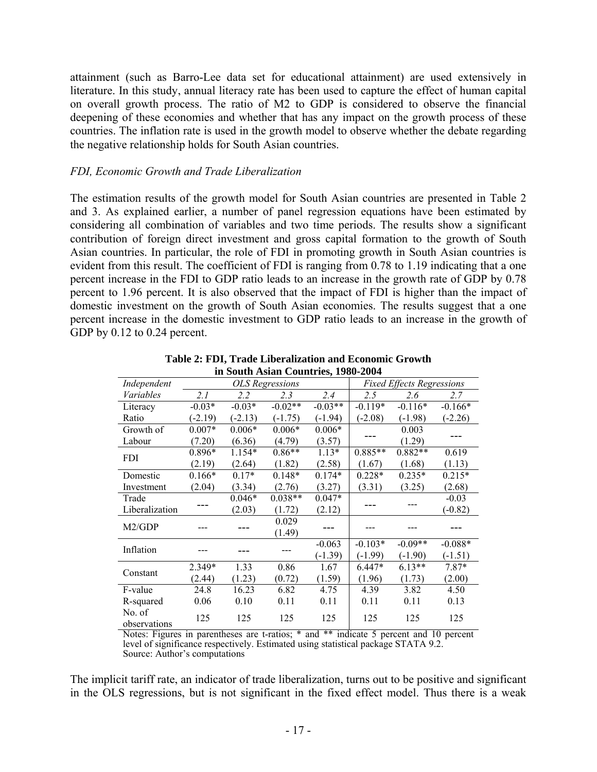attainment (such as Barro-Lee data set for educational attainment) are used extensively in literature. In this study, annual literacy rate has been used to capture the effect of human capital on overall growth process. The ratio of M2 to GDP is considered to observe the financial deepening of these economies and whether that has any impact on the growth process of these countries. The inflation rate is used in the growth model to observe whether the debate regarding the negative relationship holds for South Asian countries.

#### *FDI, Economic Growth and Trade Liberalization*

The estimation results of the growth model for South Asian countries are presented in Table 2 and 3. As explained earlier, a number of panel regression equations have been estimated by considering all combination of variables and two time periods. The results show a significant contribution of foreign direct investment and gross capital formation to the growth of South Asian countries. In particular, the role of FDI in promoting growth in South Asian countries is evident from this result. The coefficient of FDI is ranging from 0.78 to 1.19 indicating that a one percent increase in the FDI to GDP ratio leads to an increase in the growth rate of GDP by 0.78 percent to 1.96 percent. It is also observed that the impact of FDI is higher than the impact of domestic investment on the growth of South Asian economies. The results suggest that a one percent increase in the domestic investment to GDP ratio leads to an increase in the growth of GDP by 0.12 to 0.24 percent.

| ш роции таяциг социател, 1700 2007 |           |           |                        |           |                                  |           |           |  |  |
|------------------------------------|-----------|-----------|------------------------|-----------|----------------------------------|-----------|-----------|--|--|
| Independent                        |           |           | <b>OLS</b> Regressions |           | <b>Fixed Effects Regressions</b> |           |           |  |  |
| Variables                          | 2.1       | 2.2       | 2.3                    | 2.4       | 2.5                              | 2.6       | 2.7       |  |  |
| Literacy                           | $-0.03*$  | $-0.03*$  | $-0.02**$              | $-0.03**$ | $-0.119*$                        | $-0.116*$ | $-0.166*$ |  |  |
| Ratio                              | $(-2.19)$ | $(-2.13)$ | $(-1.75)$              | $(-1.94)$ | $(-2.08)$                        | $(-1.98)$ | $(-2.26)$ |  |  |
| Growth of                          | $0.007*$  | $0.006*$  | $0.006*$               | $0.006*$  |                                  | 0.003     |           |  |  |
| Labour                             | (7.20)    | (6.36)    | (4.79)                 | (3.57)    |                                  | (1.29)    |           |  |  |
| <b>FDI</b>                         | 0.896*    | 1.154*    | $0.86**$               | $1.13*$   | $0.885**$                        | $0.882**$ | 0.619     |  |  |
|                                    | (2.19)    | (2.64)    | (1.82)                 | (2.58)    | (1.67)                           | (1.68)    | (1.13)    |  |  |
| Domestic                           | $0.166*$  | $0.17*$   | $0.148*$               | $0.174*$  | $0.228*$                         | $0.235*$  | $0.215*$  |  |  |
| Investment                         | (2.04)    | (3.34)    | (2.76)                 | (3.27)    | (3.31)                           | (3.25)    | (2.68)    |  |  |
| Trade                              |           | $0.046*$  | $0.038**$              | $0.047*$  |                                  |           | $-0.03$   |  |  |
| Liberalization                     |           | (2.03)    | (1.72)                 | (2.12)    |                                  |           | $-0.82$   |  |  |
| M2/GDP                             |           |           | 0.029                  |           |                                  |           |           |  |  |
|                                    |           |           | (1.49)                 |           |                                  |           |           |  |  |
| Inflation                          |           |           |                        | $-0.063$  | $-0.103*$                        | $-0.09**$ | $-0.088*$ |  |  |
|                                    |           |           |                        | $(-1.39)$ | $(-1.99)$                        | $(-1.90)$ | $(-1.51)$ |  |  |
| Constant                           | 2.349*    | 1.33      | 0.86                   | 1.67      | $6.447*$                         | $6.13**$  | $7.87*$   |  |  |
|                                    | (2.44)    | (1.23)    | (0.72)                 | (1.59)    | (1.96)                           | (1.73)    | (2.00)    |  |  |
| F-value                            | 24.8      | 16.23     | 6.82                   | 4.75      | 4.39                             | 3.82      | 4.50      |  |  |
| R-squared                          | 0.06      | 0.10      | 0.11                   | 0.11      | 0.11                             | 0.11      | 0.13      |  |  |
| No. of                             | 125       | 125       | 125                    | 125       | 125                              | 125       | 125       |  |  |
| observations                       |           |           |                        |           |                                  |           |           |  |  |

**Table 2: FDI, Trade Liberalization and Economic Growth in South Asian Countries, 1980-2004** 

Notes: Figures in parentheses are t-ratios; \* and \*\* indicate 5 percent and 10 percent level of significance respectively. Estimated using statistical package STATA 9.2. Source: Author's computations

The implicit tariff rate, an indicator of trade liberalization, turns out to be positive and significant in the OLS regressions, but is not significant in the fixed effect model. Thus there is a weak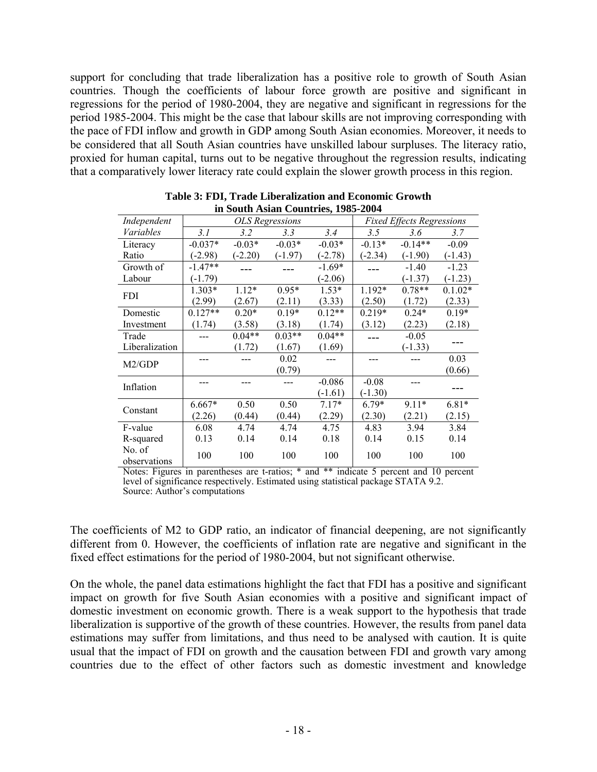support for concluding that trade liberalization has a positive role to growth of South Asian countries. Though the coefficients of labour force growth are positive and significant in regressions for the period of 1980-2004, they are negative and significant in regressions for the period 1985-2004. This might be the case that labour skills are not improving corresponding with the pace of FDI inflow and growth in GDP among South Asian economies. Moreover, it needs to be considered that all South Asian countries have unskilled labour surpluses. The literacy ratio, proxied for human capital, turns out to be negative throughout the regression results, indicating that a comparatively lower literacy rate could explain the slower growth process in this region.

| III Douth Tislah Countrities, 1705 2007 |                                                            |           |           |           |           |           |           |  |  |  |
|-----------------------------------------|------------------------------------------------------------|-----------|-----------|-----------|-----------|-----------|-----------|--|--|--|
| Independent                             | <b>Fixed Effects Regressions</b><br><b>OLS</b> Regressions |           |           |           |           |           |           |  |  |  |
| Variables                               | 3.1                                                        | 3.2       | 3.3       | 3.4       | 3.5       | 3.6       | 3.7       |  |  |  |
| Literacy                                | $-0.037*$                                                  | $-0.03*$  | $-0.03*$  | $-0.03*$  | $-0.13*$  | $-0.14**$ | $-0.09$   |  |  |  |
| Ratio                                   | $(-2.98)$                                                  | $(-2.20)$ | $(-1.97)$ | $(-2.78)$ | $(-2.34)$ | $(-1.90)$ | $(-1.43)$ |  |  |  |
| Growth of                               | $-1.47**$                                                  |           |           | $-1.69*$  |           | $-1.40$   | $-1.23$   |  |  |  |
| Labour                                  | $(-1.79)$                                                  |           |           | $(-2.06)$ |           | $(-1.37)$ | $(-1.23)$ |  |  |  |
| <b>FDI</b>                              | 1.303*                                                     | $1.12*$   | $0.95*$   | $1.53*$   | 1.192*    | $0.78**$  | $0.1.02*$ |  |  |  |
|                                         | (2.99)                                                     | (2.67)    | (2.11)    | (3.33)    | (2.50)    | (1.72)    | (2.33)    |  |  |  |
| Domestic                                | $0.127**$                                                  | $0.20*$   | $0.19*$   | $0.12**$  | $0.219*$  | $0.24*$   | $0.19*$   |  |  |  |
| Investment                              | (1.74)                                                     | (3.58)    | (3.18)    | (1.74)    | (3.12)    | (2.23)    | (2.18)    |  |  |  |
| Trade                                   |                                                            | $0.04**$  | $0.03**$  | $0.04**$  |           | $-0.05$   |           |  |  |  |
| Liberalization                          |                                                            | (1.72)    | (1.67)    | (1.69)    |           | $(-1.33)$ |           |  |  |  |
| M2/GDP                                  |                                                            |           | 0.02      |           |           |           | 0.03      |  |  |  |
|                                         |                                                            |           | (0.79)    |           |           |           | (0.66)    |  |  |  |
| Inflation                               |                                                            |           |           | $-0.086$  | $-0.08$   |           |           |  |  |  |
|                                         |                                                            |           |           | $(-1.61)$ | $(-1.30)$ |           |           |  |  |  |
| Constant                                | 6.667*                                                     | 0.50      | 0.50      | $7.17*$   | $6.79*$   | $9.11*$   | $6.81*$   |  |  |  |
|                                         | (2.26)                                                     | (0.44)    | (0.44)    | (2.29)    | (2.30)    | (2.21)    | (2.15)    |  |  |  |
| F-value                                 | 6.08                                                       | 4.74      | 4.74      | 4.75      | 4.83      | 3.94      | 3.84      |  |  |  |
| R-squared                               | 0.13                                                       | 0.14      | 0.14      | 0.18      | 0.14      | 0.15      | 0.14      |  |  |  |
| No. of                                  | 100                                                        | 100       | 100       | 100       | 100       | 100       | 100       |  |  |  |
| observations                            |                                                            |           |           |           |           |           |           |  |  |  |

**Table 3: FDI, Trade Liberalization and Economic Growth in South Asian Countries, 1985-2004** 

Notes: Figures in parentheses are t-ratios; \* and \*\* indicate 5 percent and 10 percent level of significance respectively. Estimated using statistical package STATA 9.2. Source: Author's computations

The coefficients of M2 to GDP ratio, an indicator of financial deepening, are not significantly different from 0. However, the coefficients of inflation rate are negative and significant in the fixed effect estimations for the period of 1980-2004, but not significant otherwise.

On the whole, the panel data estimations highlight the fact that FDI has a positive and significant impact on growth for five South Asian economies with a positive and significant impact of domestic investment on economic growth. There is a weak support to the hypothesis that trade liberalization is supportive of the growth of these countries. However, the results from panel data estimations may suffer from limitations, and thus need to be analysed with caution. It is quite usual that the impact of FDI on growth and the causation between FDI and growth vary among countries due to the effect of other factors such as domestic investment and knowledge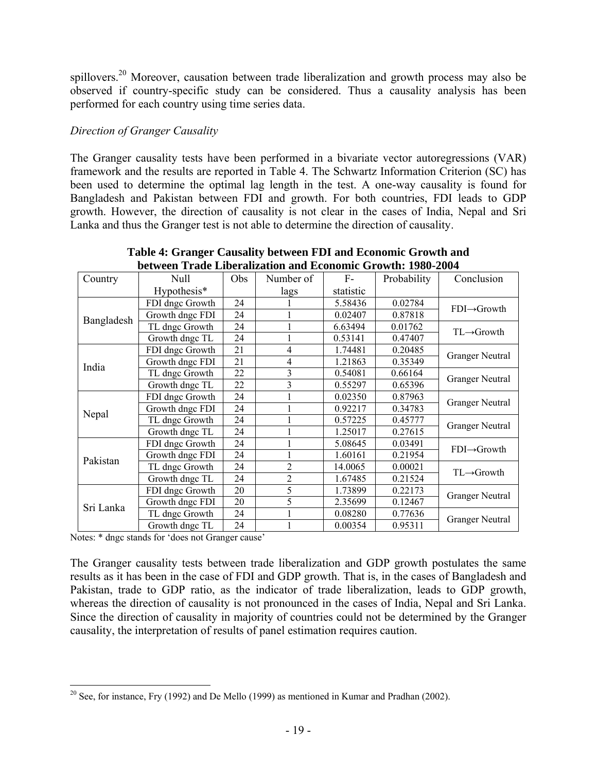spillovers.<sup>20</sup> Moreover, causation between trade liberalization and growth process may also be observed if country-specific study can be considered. Thus a causality analysis has been performed for each country using time series data.

# *Direction of Granger Causality*

The Granger causality tests have been performed in a bivariate vector autoregressions (VAR) framework and the results are reported in Table 4. The Schwartz Information Criterion (SC) has been used to determine the optimal lag length in the test. A one-way causality is found for Bangladesh and Pakistan between FDI and growth. For both countries, FDI leads to GDP growth. However, the direction of causality is not clear in the cases of India, Nepal and Sri Lanka and thus the Granger test is not able to determine the direction of causality.

| Country    | Null            | Obs | Number of      | $F-$      | Probability | Conclusion               |  |  |
|------------|-----------------|-----|----------------|-----------|-------------|--------------------------|--|--|
|            | Hypothesis*     |     | lags           | statistic |             |                          |  |  |
|            | FDI dngc Growth | 24  |                | 5.58436   | 0.02784     | $FDI \rightarrow Growth$ |  |  |
| Bangladesh | Growth dngc FDI | 24  |                | 0.02407   | 0.87818     |                          |  |  |
|            | TL dngc Growth  | 24  |                | 6.63494   | 0.01762     | $TL \rightarrow Growth$  |  |  |
|            | Growth dngc TL  | 24  |                | 0.53141   | 0.47407     |                          |  |  |
|            | FDI dngc Growth | 21  | 4              | 1.74481   | 0.20485     | <b>Granger Neutral</b>   |  |  |
| India      | Growth dngc FDI | 21  | 4              | 1.21863   | 0.35349     |                          |  |  |
|            | TL dngc Growth  | 22  | 3              | 0.54081   | 0.66164     | <b>Granger Neutral</b>   |  |  |
|            | Growth dngc TL  | 22  | 3              | 0.55297   | 0.65396     |                          |  |  |
|            | FDI dngc Growth | 24  |                | 0.02350   | 0.87963     | <b>Granger Neutral</b>   |  |  |
| Nepal      | Growth dngc FDI | 24  |                | 0.92217   | 0.34783     |                          |  |  |
|            | TL dngc Growth  | 24  |                | 0.57225   | 0.45777     | <b>Granger Neutral</b>   |  |  |
|            | Growth dngc TL  | 24  |                | 1.25017   | 0.27615     |                          |  |  |
|            | FDI dngc Growth | 24  |                | 5.08645   | 0.03491     | $FDI \rightarrow Growth$ |  |  |
| Pakistan   | Growth dngc FDI | 24  |                | 1.60161   | 0.21954     |                          |  |  |
|            | TL dngc Growth  | 24  | $\overline{2}$ | 14.0065   | 0.00021     | $TL \rightarrow Growth$  |  |  |
|            | Growth dngc TL  | 24  | $\overline{2}$ | 1.67485   | 0.21524     |                          |  |  |
|            | FDI dngc Growth | 20  | 5              | 1.73899   | 0.22173     | <b>Granger Neutral</b>   |  |  |
| Sri Lanka  | Growth dngc FDI | 20  | 5              | 2.35699   | 0.12467     |                          |  |  |
|            | TL dngc Growth  | 24  |                | 0.08280   | 0.77636     |                          |  |  |
|            | Growth dngc TL  | 24  |                | 0.00354   | 0.95311     | <b>Granger Neutral</b>   |  |  |

**Table 4: Granger Causality between FDI and Economic Growth and between Trade Liberalization and Economic Growth: 1980-2004** 

Notes: \* dngc stands for 'does not Granger cause'

The Granger causality tests between trade liberalization and GDP growth postulates the same results as it has been in the case of FDI and GDP growth. That is, in the cases of Bangladesh and Pakistan, trade to GDP ratio, as the indicator of trade liberalization, leads to GDP growth, whereas the direction of causality is not pronounced in the cases of India, Nepal and Sri Lanka. Since the direction of causality in majority of countries could not be determined by the Granger causality, the interpretation of results of panel estimation requires caution.

 $\overline{a}$ <sup>20</sup> See, for instance, Fry (1992) and De Mello (1999) as mentioned in Kumar and Pradhan (2002).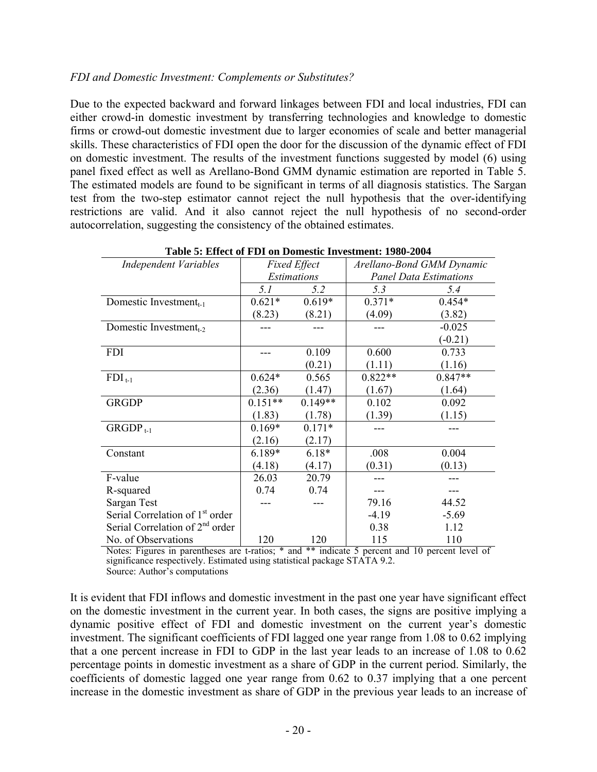### *FDI and Domestic Investment: Complements or Substitutes?*

Due to the expected backward and forward linkages between FDI and local industries, FDI can either crowd-in domestic investment by transferring technologies and knowledge to domestic firms or crowd-out domestic investment due to larger economies of scale and better managerial skills. These characteristics of FDI open the door for the discussion of the dynamic effect of FDI on domestic investment. The results of the investment functions suggested by model (6) using panel fixed effect as well as Arellano-Bond GMM dynamic estimation are reported in Table 5. The estimated models are found to be significant in terms of all diagnosis statistics. The Sargan test from the two-step estimator cannot reject the null hypothesis that the over-identifying restrictions are valid. And it also cannot reject the null hypothesis of no second-order autocorrelation, suggesting the consistency of the obtained estimates.

| <b>Independent Variables</b>                |           | <b>Fixed Effect</b> |           | Arellano-Bond GMM Dynamic     |
|---------------------------------------------|-----------|---------------------|-----------|-------------------------------|
|                                             |           | Estimations         |           | <b>Panel Data Estimations</b> |
|                                             | 5.1       | 5.2                 | 5.3       | 5.4                           |
| Domestic Investment $_{t-1}$                | $0.621*$  | $0.619*$            | $0.371*$  | $0.454*$                      |
|                                             | (8.23)    | (8.21)              | (4.09)    | (3.82)                        |
| Domestic Investment <sub>t-2</sub>          |           |                     |           | $-0.025$                      |
|                                             |           |                     |           | $(-0.21)$                     |
| <b>FDI</b>                                  |           | 0.109               | 0.600     | 0.733                         |
|                                             |           | (0.21)              | (1.11)    | (1.16)                        |
| $FDI_{t-1}$                                 | $0.624*$  | 0.565               | $0.822**$ | $0.847**$                     |
|                                             | (2.36)    | (1.47)              | (1.67)    | (1.64)                        |
| <b>GRGDP</b>                                | $0.151**$ | $0.149**$           | 0.102     | 0.092                         |
|                                             | (1.83)    | (1.78)              | (1.39)    | (1.15)                        |
| $GRGDP_{t-1}$                               | $0.169*$  | $0.171*$            |           |                               |
|                                             | (2.16)    | (2.17)              |           |                               |
| Constant                                    | 6.189*    | $6.18*$             | .008      | 0.004                         |
|                                             | (4.18)    | (4.17)              | (0.31)    | (0.13)                        |
| F-value                                     | 26.03     | 20.79               |           |                               |
| R-squared                                   | 0.74      | 0.74                |           |                               |
| Sargan Test                                 |           |                     | 79.16     | 44.52                         |
| Serial Correlation of 1 <sup>st</sup> order |           |                     | $-4.19$   | $-5.69$                       |
| Serial Correlation of 2 <sup>nd</sup> order |           |                     | 0.38      | 1.12                          |
| No. of Observations                         | 120       | 120                 | 115       | 110                           |

#### **Table 5: Effect of FDI on Domestic Investment: 1980-2004**

Notes: Figures in parentheses are t-ratios; \* and \*\* indicate 5 percent and 10 percent level of significance respectively. Estimated using statistical package STATA 9.2. Source: Author's computations

It is evident that FDI inflows and domestic investment in the past one year have significant effect on the domestic investment in the current year. In both cases, the signs are positive implying a dynamic positive effect of FDI and domestic investment on the current year's domestic investment. The significant coefficients of FDI lagged one year range from 1.08 to 0.62 implying that a one percent increase in FDI to GDP in the last year leads to an increase of 1.08 to 0.62 percentage points in domestic investment as a share of GDP in the current period. Similarly, the coefficients of domestic lagged one year range from 0.62 to 0.37 implying that a one percent increase in the domestic investment as share of GDP in the previous year leads to an increase of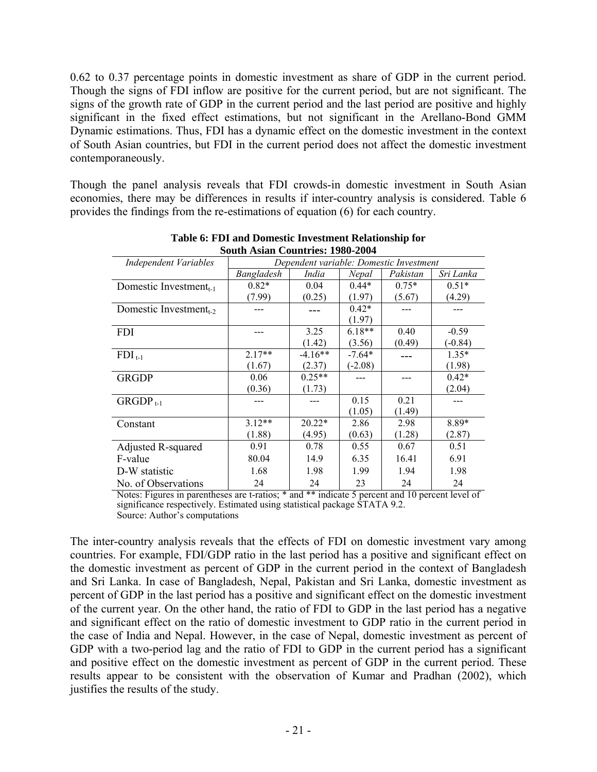0.62 to 0.37 percentage points in domestic investment as share of GDP in the current period. Though the signs of FDI inflow are positive for the current period, but are not significant. The signs of the growth rate of GDP in the current period and the last period are positive and highly significant in the fixed effect estimations, but not significant in the Arellano-Bond GMM Dynamic estimations. Thus, FDI has a dynamic effect on the domestic investment in the context of South Asian countries, but FDI in the current period does not affect the domestic investment contemporaneously.

Though the panel analysis reveals that FDI crowds-in domestic investment in South Asian economies, there may be differences in results if inter-country analysis is considered. Table 6 provides the findings from the re-estimations of equation (6) for each country.

| воции Asian Countries. 1760-200 <del>1</del> |            |                                         |           |          |           |  |  |  |  |
|----------------------------------------------|------------|-----------------------------------------|-----------|----------|-----------|--|--|--|--|
| <b>Independent Variables</b>                 |            | Dependent variable: Domestic Investment |           |          |           |  |  |  |  |
|                                              | Bangladesh | India                                   | Nepal     | Pakistan | Sri Lanka |  |  |  |  |
| Domestic Investment <sub>t-1</sub>           | $0.82*$    | 0.04                                    | $0.44*$   | $0.75*$  | $0.51*$   |  |  |  |  |
|                                              | (7.99)     | (0.25)                                  | (1.97)    | (5.67)   | (4.29)    |  |  |  |  |
| Domestic Investment <sub>1-2</sub>           |            |                                         | $0.42*$   |          |           |  |  |  |  |
|                                              |            |                                         | (1.97)    |          |           |  |  |  |  |
| <b>FDI</b>                                   |            | 3.25                                    | $6.18**$  | 0.40     | $-0.59$   |  |  |  |  |
|                                              |            | (1.42)                                  | (3.56)    | (0.49)   | $(-0.84)$ |  |  |  |  |
| $FDI_{t-1}$                                  | $2.17**$   | $-4.16**$                               | $-7.64*$  |          | $1.35*$   |  |  |  |  |
|                                              | (1.67)     | (2.37)                                  | $(-2.08)$ |          | (1.98)    |  |  |  |  |
| <b>GRGDP</b>                                 | 0.06       | $0.25**$                                |           |          | $0.42*$   |  |  |  |  |
|                                              | (0.36)     | (1.73)                                  |           |          | (2.04)    |  |  |  |  |
| $GRGDP_{t-1}$                                |            |                                         | 0.15      | 0.21     |           |  |  |  |  |
|                                              |            |                                         | (1.05)    | (1.49)   |           |  |  |  |  |
| Constant                                     | $3.12**$   | $20.22*$                                | 2.86      | 2.98     | 8.89*     |  |  |  |  |
|                                              | (1.88)     | (4.95)                                  | (0.63)    | (1.28)   | (2.87)    |  |  |  |  |
| Adjusted R-squared                           | 0.91       | 0.78                                    | 0.55      | 0.67     | 0.51      |  |  |  |  |
| F-value                                      | 80.04      | 14.9                                    | 6.35      | 16.41    | 6.91      |  |  |  |  |
| D-W statistic                                | 1.68       | 1.98                                    | 1.99      | 1.94     | 1.98      |  |  |  |  |
| No. of Observations                          | 24         | 24                                      | 23        | 24       | 24        |  |  |  |  |

| Table 6: FDI and Domestic Investment Relationship for |
|-------------------------------------------------------|
| <b>South Asian Countries: 1980-2004</b>               |

Notes: Figures in parentheses are t-ratios; \* and \*\* indicate 5 percent and 10 percent level of significance respectively. Estimated using statistical package  $\hat{S}TATA 9.2$ . Source: Author's computations

The inter-country analysis reveals that the effects of FDI on domestic investment vary among countries. For example, FDI/GDP ratio in the last period has a positive and significant effect on the domestic investment as percent of GDP in the current period in the context of Bangladesh and Sri Lanka. In case of Bangladesh, Nepal, Pakistan and Sri Lanka, domestic investment as percent of GDP in the last period has a positive and significant effect on the domestic investment of the current year. On the other hand, the ratio of FDI to GDP in the last period has a negative and significant effect on the ratio of domestic investment to GDP ratio in the current period in the case of India and Nepal. However, in the case of Nepal, domestic investment as percent of GDP with a two-period lag and the ratio of FDI to GDP in the current period has a significant and positive effect on the domestic investment as percent of GDP in the current period. These results appear to be consistent with the observation of Kumar and Pradhan (2002), which justifies the results of the study.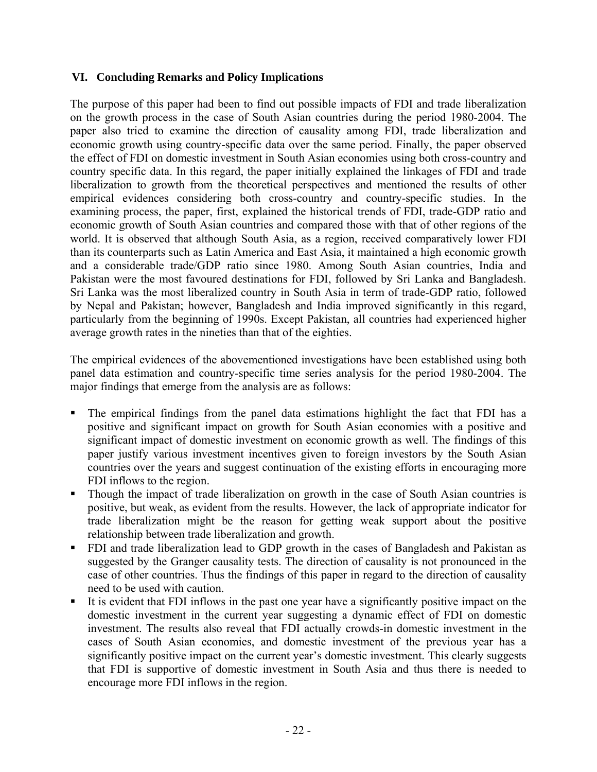# **VI. Concluding Remarks and Policy Implications**

The purpose of this paper had been to find out possible impacts of FDI and trade liberalization on the growth process in the case of South Asian countries during the period 1980-2004. The paper also tried to examine the direction of causality among FDI, trade liberalization and economic growth using country-specific data over the same period. Finally, the paper observed the effect of FDI on domestic investment in South Asian economies using both cross-country and country specific data. In this regard, the paper initially explained the linkages of FDI and trade liberalization to growth from the theoretical perspectives and mentioned the results of other empirical evidences considering both cross-country and country-specific studies. In the examining process, the paper, first, explained the historical trends of FDI, trade-GDP ratio and economic growth of South Asian countries and compared those with that of other regions of the world. It is observed that although South Asia, as a region, received comparatively lower FDI than its counterparts such as Latin America and East Asia, it maintained a high economic growth and a considerable trade/GDP ratio since 1980. Among South Asian countries, India and Pakistan were the most favoured destinations for FDI, followed by Sri Lanka and Bangladesh. Sri Lanka was the most liberalized country in South Asia in term of trade-GDP ratio, followed by Nepal and Pakistan; however, Bangladesh and India improved significantly in this regard, particularly from the beginning of 1990s. Except Pakistan, all countries had experienced higher average growth rates in the nineties than that of the eighties.

The empirical evidences of the abovementioned investigations have been established using both panel data estimation and country-specific time series analysis for the period 1980-2004. The major findings that emerge from the analysis are as follows:

- The empirical findings from the panel data estimations highlight the fact that FDI has a positive and significant impact on growth for South Asian economies with a positive and significant impact of domestic investment on economic growth as well. The findings of this paper justify various investment incentives given to foreign investors by the South Asian countries over the years and suggest continuation of the existing efforts in encouraging more FDI inflows to the region.
- Though the impact of trade liberalization on growth in the case of South Asian countries is positive, but weak, as evident from the results. However, the lack of appropriate indicator for trade liberalization might be the reason for getting weak support about the positive relationship between trade liberalization and growth.
- FDI and trade liberalization lead to GDP growth in the cases of Bangladesh and Pakistan as suggested by the Granger causality tests. The direction of causality is not pronounced in the case of other countries. Thus the findings of this paper in regard to the direction of causality need to be used with caution.
- It is evident that FDI inflows in the past one year have a significantly positive impact on the domestic investment in the current year suggesting a dynamic effect of FDI on domestic investment. The results also reveal that FDI actually crowds-in domestic investment in the cases of South Asian economies, and domestic investment of the previous year has a significantly positive impact on the current year's domestic investment. This clearly suggests that FDI is supportive of domestic investment in South Asia and thus there is needed to encourage more FDI inflows in the region.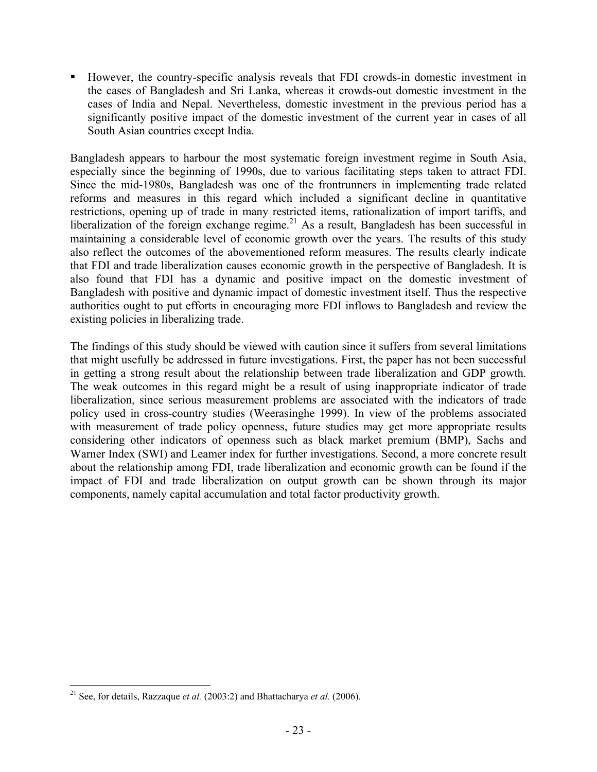However, the country-specific analysis reveals that FDI crowds-in domestic investment in the cases of Bangladesh and Sri Lanka, whereas it crowds-out domestic investment in the cases of India and Nepal. Nevertheless, domestic investment in the previous period has a significantly positive impact of the domestic investment of the current year in cases of all South Asian countries except India.

Bangladesh appears to harbour the most systematic foreign investment regime in South Asia, especially since the beginning of 1990s, due to various facilitating steps taken to attract FDI. Since the mid-1980s, Bangladesh was one of the frontrunners in implementing trade related reforms and measures in this regard which included a significant decline in quantitative restrictions, opening up of trade in many restricted items, rationalization of import tariffs, and liberalization of the foreign exchange regime.<sup>21</sup> As a result, Bangladesh has been successful in maintaining a considerable level of economic growth over the years. The results of this study also reflect the outcomes of the abovementioned reform measures. The results clearly indicate that FDI and trade liberalization causes economic growth in the perspective of Bangladesh. It is also found that FDI has a dynamic and positive impact on the domestic investment of Bangladesh with positive and dynamic impact of domestic investment itself. Thus the respective authorities ought to put efforts in encouraging more FDI inflows to Bangladesh and review the existing policies in liberalizing trade.

The findings of this study should be viewed with caution since it suffers from several limitations that might usefully be addressed in future investigations. First, the paper has not been successful in getting a strong result about the relationship between trade liberalization and GDP growth. The weak outcomes in this regard might be a result of using inappropriate indicator of trade liberalization, since serious measurement problems are associated with the indicators of trade policy used in cross-country studies (Weerasinghe 1999). In view of the problems associated with measurement of trade policy openness, future studies may get more appropriate results considering other indicators of openness such as black market premium (BMP), Sachs and Warner Index (SWI) and Leamer index for further investigations. Second, a more concrete result about the relationship among FDI, trade liberalization and economic growth can be found if the impact of FDI and trade liberalization on output growth can be shown through its major components, namely capital accumulation and total factor productivity growth.

 $\overline{a}$ <sup>21</sup> See, for details, Razzaque *et al.* (2003:2) and Bhattacharya *et al.* (2006).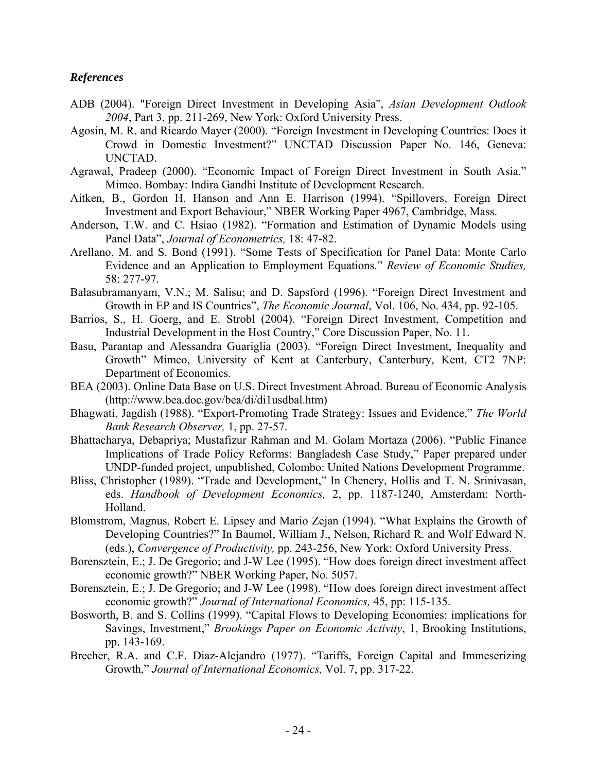### *References*

- ADB (2004). "Foreign Direct Investment in Developing Asia", *Asian Development Outlook 2004*, Part 3, pp. 211-269, New York: Oxford University Press.
- Agosin, M. R. and Ricardo Mayer (2000). "Foreign Investment in Developing Countries: Does it Crowd in Domestic Investment?" UNCTAD Discussion Paper No. 146, Geneva: UNCTAD.
- Agrawal, Pradeep (2000). "Economic Impact of Foreign Direct Investment in South Asia." Mimeo. Bombay: Indira Gandhi Institute of Development Research.
- Aitken, B., Gordon H. Hanson and Ann E. Harrison (1994). "Spillovers, Foreign Direct Investment and Export Behaviour," NBER Working Paper 4967, Cambridge, Mass.
- Anderson, T.W. and C. Hsiao (1982). "Formation and Estimation of Dynamic Models using Panel Data", *Journal of Econometrics,* 18: 47-82.
- Arellano, M. and S. Bond (1991). "Some Tests of Specification for Panel Data: Monte Carlo Evidence and an Application to Employment Equations." *Review of Economic Studies,*  58: 277-97.
- Balasubramanyam, V.N.; M. Salisu; and D. Sapsford (1996). "Foreign Direct Investment and Growth in EP and IS Countries", *The Economic Journal*, Vol. 106, No. 434, pp. 92-105.
- Barrios, S., H. Goerg, and E. Strobl (2004). "Foreign Direct Investment, Competition and Industrial Development in the Host Country," Core Discussion Paper, No. 11.
- Basu, Parantap and Alessandra Guariglia (2003). "Foreign Direct Investment, Inequality and Growth" Mimeo, University of Kent at Canterbury, Canterbury, Kent, CT2 7NP: Department of Economics.
- BEA (2003). Online Data Base on U.S. Direct Investment Abroad. Bureau of Economic Analysis (http://www.bea.doc.gov/bea/di/di1usdbal.htm)
- Bhagwati, Jagdish (1988). "Export-Promoting Trade Strategy: Issues and Evidence," *The World Bank Research Observer,* 1, pp. 27-57.
- Bhattacharya, Debapriya; Mustafizur Rahman and M. Golam Mortaza (2006). "Public Finance Implications of Trade Policy Reforms: Bangladesh Case Study," Paper prepared under UNDP-funded project, unpublished, Colombo: United Nations Development Programme.
- Bliss, Christopher (1989). "Trade and Development," In Chenery, Hollis and T. N. Srinivasan, eds. *Handbook of Development Economics,* 2, pp. 1187-1240, Amsterdam: North-Holland.
- Blomstrom, Magnus, Robert E. Lipsey and Mario Zejan (1994). "What Explains the Growth of Developing Countries?" In Baumol, William J., Nelson, Richard R. and Wolf Edward N. (eds.), *Convergence of Productivity,* pp. 243-256, New York: Oxford University Press.
- Borensztein, E.; J. De Gregorio; and J-W Lee (1995). "How does foreign direct investment affect economic growth?" NBER Working Paper, No. 5057.
- Borensztein, E.; J. De Gregorio; and J-W Lee (1998). "How does foreign direct investment affect economic growth?" *Journal of International Economics,* 45, pp: 115-135.
- Bosworth, B. and S. Collins (1999). "Capital Flows to Developing Economies: implications for Savings, Investment," *Brookings Paper on Economic Activity*, 1, Brooking Institutions, pp. 143-169.
- Brecher, R.A. and C.F. Diaz-Alejandro (1977). "Tariffs, Foreign Capital and Immeserizing Growth," *Journal of International Economics,* Vol. 7, pp. 317-22.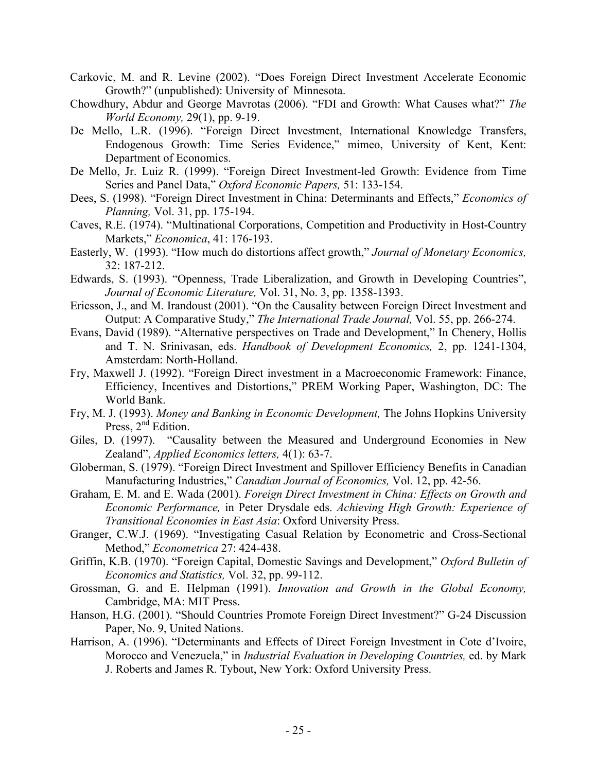- Carkovic, M. and R. Levine (2002). "Does Foreign Direct Investment Accelerate Economic Growth?" (unpublished): University of Minnesota.
- Chowdhury, Abdur and George Mavrotas (2006). "FDI and Growth: What Causes what?" *The World Economy,* 29(1), pp. 9-19.
- De Mello, L.R. (1996). "Foreign Direct Investment, International Knowledge Transfers, Endogenous Growth: Time Series Evidence," mimeo, University of Kent, Kent: Department of Economics.
- De Mello, Jr. Luiz R. (1999). "Foreign Direct Investment-led Growth: Evidence from Time Series and Panel Data," *Oxford Economic Papers,* 51: 133-154.
- Dees, S. (1998). "Foreign Direct Investment in China: Determinants and Effects," *Economics of Planning,* Vol. 31, pp. 175-194.
- Caves, R.E. (1974). "Multinational Corporations, Competition and Productivity in Host-Country Markets," *Economica*, 41: 176-193.
- Easterly, W. (1993). "How much do distortions affect growth," *Journal of Monetary Economics,* 32: 187-212.
- Edwards, S. (1993). "Openness, Trade Liberalization, and Growth in Developing Countries", *Journal of Economic Literature,* Vol. 31, No. 3, pp. 1358-1393.
- Ericsson, J., and M. Irandoust (2001). "On the Causality between Foreign Direct Investment and Output: A Comparative Study," *The International Trade Journal,* Vol. 55, pp. 266-274.
- Evans, David (1989). "Alternative perspectives on Trade and Development," In Chenery, Hollis and T. N. Srinivasan, eds. *Handbook of Development Economics,* 2, pp. 1241-1304, Amsterdam: North-Holland.
- Fry, Maxwell J. (1992). "Foreign Direct investment in a Macroeconomic Framework: Finance, Efficiency, Incentives and Distortions," PREM Working Paper, Washington, DC: The World Bank.
- Fry, M. J. (1993). *Money and Banking in Economic Development,* The Johns Hopkins University Press,  $2<sup>nd</sup>$  Edition.
- Giles, D. (1997). "Causality between the Measured and Underground Economies in New Zealand", *Applied Economics letters,* 4(1): 63-7.
- Globerman, S. (1979). "Foreign Direct Investment and Spillover Efficiency Benefits in Canadian Manufacturing Industries," *Canadian Journal of Economics,* Vol. 12, pp. 42-56.
- Graham, E. M. and E. Wada (2001). *Foreign Direct Investment in China: Effects on Growth and Economic Performance,* in Peter Drysdale eds. *Achieving High Growth: Experience of Transitional Economies in East Asia*: Oxford University Press.
- Granger, C.W.J. (1969). "Investigating Casual Relation by Econometric and Cross-Sectional Method," *Econometrica* 27: 424-438.
- Griffin, K.B. (1970). "Foreign Capital, Domestic Savings and Development," *Oxford Bulletin of Economics and Statistics,* Vol. 32, pp. 99-112.
- Grossman, G. and E. Helpman (1991). *Innovation and Growth in the Global Economy,* Cambridge, MA: MIT Press.
- Hanson, H.G. (2001). "Should Countries Promote Foreign Direct Investment?" G-24 Discussion Paper, No. 9, United Nations.
- Harrison, A. (1996). "Determinants and Effects of Direct Foreign Investment in Cote d'Ivoire, Morocco and Venezuela," in *Industrial Evaluation in Developing Countries,* ed. by Mark J. Roberts and James R. Tybout, New York: Oxford University Press.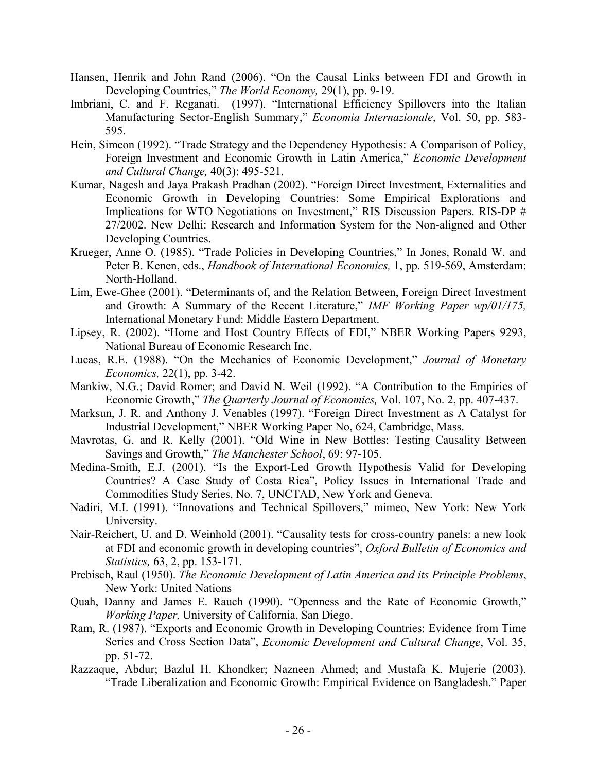- Hansen, Henrik and John Rand (2006). "On the Causal Links between FDI and Growth in Developing Countries," *The World Economy,* 29(1), pp. 9-19.
- Imbriani, C. and F. Reganati. (1997). "International Efficiency Spillovers into the Italian Manufacturing Sector-English Summary," *Economia Internazionale*, Vol. 50, pp. 583- 595.
- Hein, Simeon (1992). "Trade Strategy and the Dependency Hypothesis: A Comparison of Policy, Foreign Investment and Economic Growth in Latin America," *Economic Development and Cultural Change,* 40(3): 495-521.
- Kumar, Nagesh and Jaya Prakash Pradhan (2002). "Foreign Direct Investment, Externalities and Economic Growth in Developing Countries: Some Empirical Explorations and Implications for WTO Negotiations on Investment," RIS Discussion Papers. RIS-DP # 27/2002. New Delhi: Research and Information System for the Non-aligned and Other Developing Countries.
- Krueger, Anne O. (1985). "Trade Policies in Developing Countries," In Jones, Ronald W. and Peter B. Kenen, eds., *Handbook of International Economics,* 1, pp. 519-569, Amsterdam: North-Holland.
- Lim, Ewe-Ghee (2001). "Determinants of, and the Relation Between, Foreign Direct Investment and Growth: A Summary of the Recent Literature," *IMF Working Paper wp/01/175,* International Monetary Fund: Middle Eastern Department.
- Lipsey, R. (2002). "Home and Host Country Effects of FDI," NBER Working Papers 9293, National Bureau of Economic Research Inc.
- Lucas, R.E. (1988). "On the Mechanics of Economic Development," *Journal of Monetary Economics,* 22(1), pp. 3-42.
- Mankiw, N.G.; David Romer; and David N. Weil (1992). "A Contribution to the Empirics of Economic Growth," *The Quarterly Journal of Economics,* Vol. 107, No. 2, pp. 407-437.
- Marksun, J. R. and Anthony J. Venables (1997). "Foreign Direct Investment as A Catalyst for Industrial Development," NBER Working Paper No, 624, Cambridge, Mass.
- Mavrotas, G. and R. Kelly (2001). "Old Wine in New Bottles: Testing Causality Between Savings and Growth," *The Manchester School*, 69: 97-105.
- Medina-Smith, E.J. (2001). "Is the Export-Led Growth Hypothesis Valid for Developing Countries? A Case Study of Costa Rica", Policy Issues in International Trade and Commodities Study Series, No. 7, UNCTAD, New York and Geneva.
- Nadiri, M.I. (1991). "Innovations and Technical Spillovers," mimeo, New York: New York University.
- Nair-Reichert, U. and D. Weinhold (2001). "Causality tests for cross-country panels: a new look at FDI and economic growth in developing countries", *Oxford Bulletin of Economics and Statistics,* 63, 2, pp. 153-171.
- Prebisch, Raul (1950). *The Economic Development of Latin America and its Principle Problems*, New York: United Nations
- Quah, Danny and James E. Rauch (1990). "Openness and the Rate of Economic Growth," *Working Paper,* University of California, San Diego.
- Ram, R. (1987). "Exports and Economic Growth in Developing Countries: Evidence from Time Series and Cross Section Data", *Economic Development and Cultural Change*, Vol. 35, pp. 51-72.
- Razzaque, Abdur; Bazlul H. Khondker; Nazneen Ahmed; and Mustafa K. Mujerie (2003). "Trade Liberalization and Economic Growth: Empirical Evidence on Bangladesh." Paper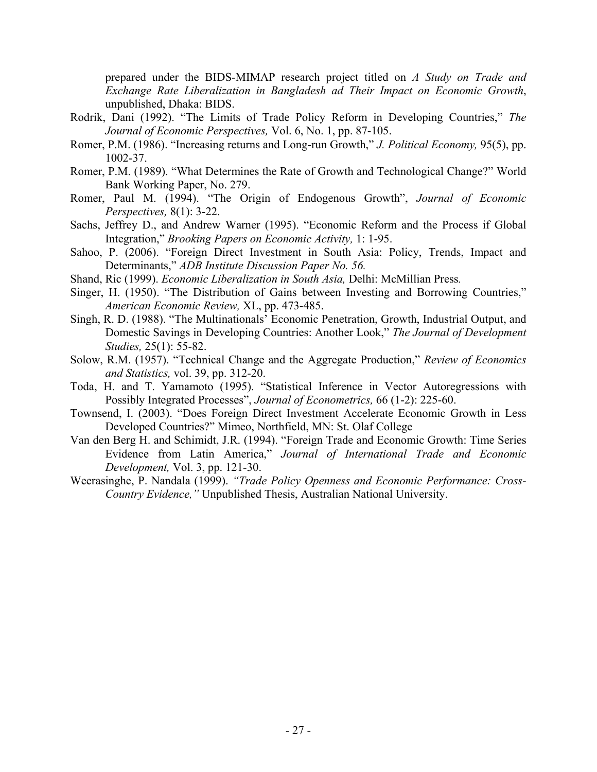prepared under the BIDS-MIMAP research project titled on *A Study on Trade and Exchange Rate Liberalization in Bangladesh ad Their Impact on Economic Growth*, unpublished, Dhaka: BIDS.

- Rodrik, Dani (1992). "The Limits of Trade Policy Reform in Developing Countries," *The Journal of Economic Perspectives,* Vol. 6, No. 1, pp. 87-105.
- Romer, P.M. (1986). "Increasing returns and Long-run Growth," *J. Political Economy,* 95(5), pp. 1002-37.
- Romer, P.M. (1989). "What Determines the Rate of Growth and Technological Change?" World Bank Working Paper, No. 279.
- Romer, Paul M. (1994). "The Origin of Endogenous Growth", *Journal of Economic Perspectives,* 8(1): 3-22.
- Sachs, Jeffrey D., and Andrew Warner (1995). "Economic Reform and the Process if Global Integration," *Brooking Papers on Economic Activity,* 1: 1-95.
- Sahoo, P. (2006). "Foreign Direct Investment in South Asia: Policy, Trends, Impact and Determinants," *ADB Institute Discussion Paper No. 56.*
- Shand, Ric (1999). *Economic Liberalization in South Asia,* Delhi: McMillian Press*.*
- Singer, H. (1950). "The Distribution of Gains between Investing and Borrowing Countries," *American Economic Review,* XL, pp. 473-485.
- Singh, R. D. (1988). "The Multinationals' Economic Penetration, Growth, Industrial Output, and Domestic Savings in Developing Countries: Another Look," *The Journal of Development Studies,* 25(1): 55-82.
- Solow, R.M. (1957). "Technical Change and the Aggregate Production," *Review of Economics and Statistics,* vol. 39, pp. 312-20.
- Toda, H. and T. Yamamoto (1995). "Statistical Inference in Vector Autoregressions with Possibly Integrated Processes", *Journal of Econometrics,* 66 (1-2): 225-60.
- Townsend, I. (2003). "Does Foreign Direct Investment Accelerate Economic Growth in Less Developed Countries?" Mimeo, Northfield, MN: St. Olaf College
- Van den Berg H. and Schimidt, J.R. (1994). "Foreign Trade and Economic Growth: Time Series Evidence from Latin America," *Journal of International Trade and Economic Development,* Vol. 3, pp. 121-30.
- Weerasinghe, P. Nandala (1999). *"Trade Policy Openness and Economic Performance: Cross-Country Evidence,"* Unpublished Thesis, Australian National University.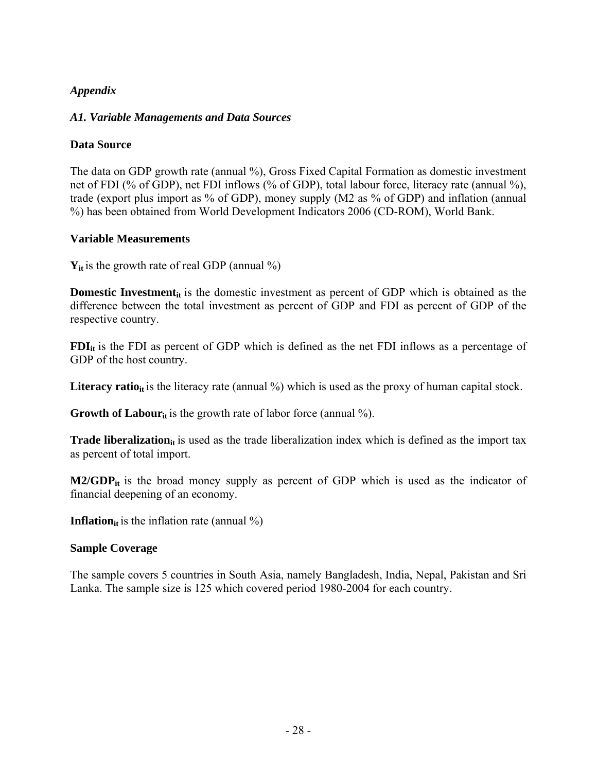# *Appendix*

## *A1. Variable Managements and Data Sources*

## **Data Source**

The data on GDP growth rate (annual %), Gross Fixed Capital Formation as domestic investment net of FDI (% of GDP), net FDI inflows (% of GDP), total labour force, literacy rate (annual %), trade (export plus import as % of GDP), money supply (M2 as % of GDP) and inflation (annual %) has been obtained from World Development Indicators 2006 (CD-ROM), World Bank.

### **Variable Measurements**

 $Y_{it}$  is the growth rate of real GDP (annual  $\%$ )

**Domestic Investment**<sub>it</sub> is the domestic investment as percent of GDP which is obtained as the difference between the total investment as percent of GDP and FDI as percent of GDP of the respective country.

**FDI**<sub>it</sub> is the FDI as percent of GDP which is defined as the net FDI inflows as a percentage of GDP of the host country.

**Literacy ratio**<sub>it</sub> is the literacy rate (annual  $\%$ ) which is used as the proxy of human capital stock.

**Growth of Labour**<sub>it</sub> is the growth rate of labor force (annual  $\%$ ).

**Trade liberalization**<sub>it</sub> is used as the trade liberalization index which is defined as the import tax as percent of total import.

**M2/GDP**<sub>it</sub> is the broad money supply as percent of GDP which is used as the indicator of financial deepening of an economy.

**Inflation**<sub>it</sub> is the inflation rate (annual  $\%$ )

### **Sample Coverage**

The sample covers 5 countries in South Asia, namely Bangladesh, India, Nepal, Pakistan and Sri Lanka. The sample size is 125 which covered period 1980-2004 for each country.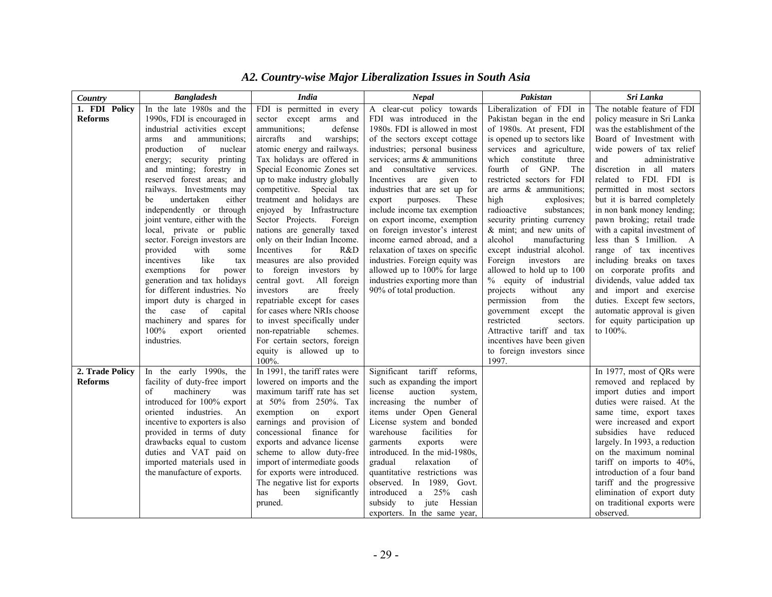| Country         | <b>Bangladesh</b>                                          | <b>India</b>                                                 | Nepal                                                        | Pakistan                                                 | Sri Lanka                                                |
|-----------------|------------------------------------------------------------|--------------------------------------------------------------|--------------------------------------------------------------|----------------------------------------------------------|----------------------------------------------------------|
| 1. FDI Policy   | In the late 1980s and the                                  | FDI is permitted in every                                    | A clear-cut policy towards                                   | Liberalization of FDI in                                 | The notable feature of FDI                               |
| <b>Reforms</b>  | 1990s, FDI is encouraged in                                | sector except arms and                                       | FDI was introduced in the                                    | Pakistan began in the end                                | policy measure in Sri Lanka                              |
|                 | industrial activities except                               | ammunitions;<br>defense                                      | 1980s. FDI is allowed in most                                | of 1980s. At present, FDI                                | was the establishment of the                             |
|                 | and<br>ammunitions:<br>arms                                | aircrafts<br>warships;<br>and                                | of the sectors except cottage                                | is opened up to sectors like                             | Board of Investment with                                 |
|                 | of<br>production<br>nuclear                                | atomic energy and railways.                                  | industries; personal business                                | services and agriculture,                                | wide powers of tax relief                                |
|                 | energy; security<br>printing                               | Tax holidays are offered in                                  | services; arms & ammunitions                                 | which<br>constitute<br>three                             | and<br>administrative                                    |
|                 | and minting; forestry in                                   | Special Economic Zones set                                   | and consultative services.                                   | of GNP.<br>fourth<br>The                                 | discretion in all maters                                 |
|                 | reserved forest areas; and                                 | up to make industry globally                                 | Incentives are given to                                      | restricted sectors for FDI                               | related to FDI. FDI is                                   |
|                 | railways. Investments may                                  | competitive. Special tax                                     | industries that are set up for                               | are arms $\&$ ammunitions;                               | permitted in most sectors                                |
|                 | undertaken<br>either<br>be                                 | treatment and holidays are                                   | purposes.<br>export<br>These                                 | explosives;<br>high                                      | but it is barred completely                              |
|                 | independently or through<br>joint venture, either with the | enjoyed by Infrastructure<br>Sector Projects.<br>Foreign     | include income tax exemption<br>on export income, exemption  | radioactive<br>substances;<br>security printing currency | in non bank money lending;<br>pawn broking; retail trade |
|                 | local, private or public                                   | nations are generally taxed                                  | on foreign investor's interest                               | & mint; and new units of                                 | with a capital investment of                             |
|                 | sector. Foreign investors are                              | only on their Indian Income.                                 | income earned abroad, and a                                  | alcohol<br>manufacturing                                 | less than \$ 1million. A                                 |
|                 | provided<br>with<br>some                                   | Incentives<br>for<br>R&D                                     | relaxation of taxes on specific                              | except industrial alcohol.                               | range of tax incentives                                  |
|                 | incentives<br>like<br>tax                                  | measures are also provided                                   | industries. Foreign equity was                               | Foreign<br>investors<br>are                              | including breaks on taxes                                |
|                 | for<br>exemptions<br>power                                 | to foreign investors by                                      | allowed up to 100% for large                                 | allowed to hold up to 100                                | on corporate profits and                                 |
|                 | generation and tax holidays                                | central govt. All foreign                                    | industries exporting more than                               | % equity of industrial                                   | dividends, value added tax                               |
|                 | for different industries. No                               | investors<br>freely<br>are                                   | 90% of total production.                                     | projects<br>without<br>any                               | and import and exercise                                  |
|                 | import duty is charged in                                  | repatriable except for cases                                 |                                                              | permission<br>from<br>the                                | duties. Except few sectors,                              |
|                 | of<br>case<br>the<br>capital                               | for cases where NRIs choose                                  |                                                              | government<br>except<br>the                              | automatic approval is given                              |
|                 | machinery and spares for                                   | to invest specifically under                                 |                                                              | restricted<br>sectors.                                   | for equity participation up                              |
|                 | $100\%$<br>export<br>oriented                              | schemes.<br>non-repatriable                                  |                                                              | Attractive tariff and tax                                | to $100\%$ .                                             |
|                 | industries.                                                | For certain sectors, foreign                                 |                                                              | incentives have been given                               |                                                          |
|                 |                                                            | equity is allowed up to                                      |                                                              | to foreign investors since                               |                                                          |
|                 |                                                            | 100%.                                                        |                                                              | 1997.                                                    |                                                          |
| 2. Trade Policy | In the early 1990s, the                                    | In 1991, the tariff rates were                               | Significant tariff reforms,                                  |                                                          | In 1977, most of QRs were                                |
| <b>Reforms</b>  | facility of duty-free import                               | lowered on imports and the                                   | such as expanding the import                                 |                                                          | removed and replaced by                                  |
|                 | of<br>machinery<br>was                                     | maximum tariff rate has set                                  | auction<br>license<br>system,                                |                                                          | import duties and import                                 |
|                 | introduced for 100% export                                 | at 50% from 250%. Tax                                        | increasing the number of                                     |                                                          | duties were raised. At the                               |
|                 | industries.<br>oriented<br>An                              | exemption<br>on<br>export                                    | items under Open General                                     |                                                          | same time, export taxes                                  |
|                 | incentive to exporters is also                             | earnings and provision of                                    | License system and bonded                                    |                                                          | were increased and export                                |
|                 | provided in terms of duty                                  | concessional finance for                                     | warehouse<br>facilities<br>for                               |                                                          | subsidies have reduced                                   |
|                 | drawbacks equal to custom                                  | exports and advance license                                  | garments<br>exports<br>were                                  |                                                          | largely. In 1993, a reduction                            |
|                 | duties and VAT paid on                                     | scheme to allow duty-free                                    | introduced. In the mid-1980s,                                |                                                          | on the maximum nominal                                   |
|                 | imported materials used in<br>the manufacture of exports.  | import of intermediate goods<br>for exports were introduced. | relaxation<br>gradual<br>of<br>quantitative restrictions was |                                                          | tariff on imports to 40%,<br>introduction of a four band |
|                 |                                                            | The negative list for exports                                | observed. In 1989, Govt.                                     |                                                          | tariff and the progressive                               |
|                 |                                                            | has<br>been<br>significantly                                 | a $25%$<br>introduced<br>cash                                |                                                          | elimination of export duty                               |
|                 |                                                            | pruned.                                                      | subsidy to jute Hessian                                      |                                                          | on traditional exports were                              |
|                 |                                                            |                                                              | exporters. In the same year,                                 |                                                          | observed.                                                |

# *A2. Country-wise Major Liberalization Issues in South Asia*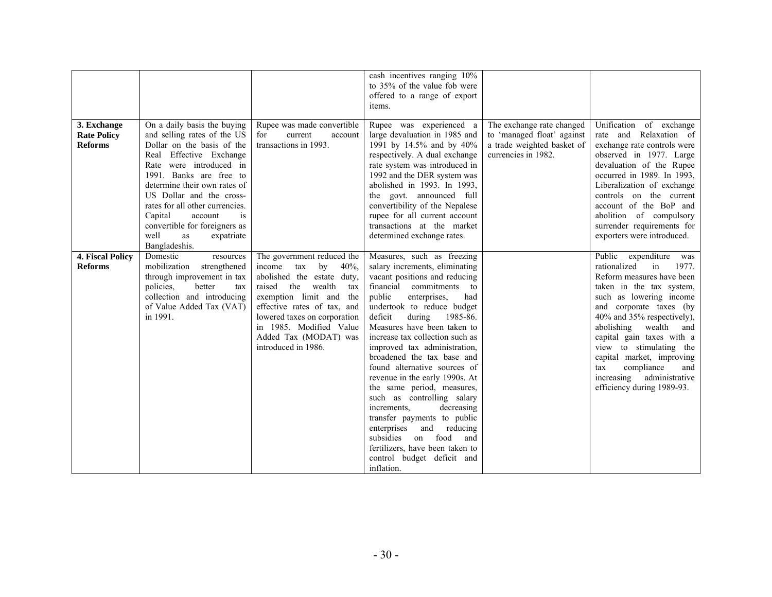|                         |                                                    |                                                           | cash incentives ranging 10%<br>to 35% of the value fob were<br>offered to a range of export<br>items. |                                                   |                                                          |
|-------------------------|----------------------------------------------------|-----------------------------------------------------------|-------------------------------------------------------------------------------------------------------|---------------------------------------------------|----------------------------------------------------------|
| 3. Exchange             | On a daily basis the buying                        | Rupee was made convertible                                | Rupee was experienced a                                                                               | The exchange rate changed                         | Unification of exchange                                  |
| <b>Rate Policy</b>      | and selling rates of the US                        | current<br>for<br>account                                 | large devaluation in 1985 and                                                                         | to 'managed float' against                        | rate and Relaxation of                                   |
| <b>Reforms</b>          | Dollar on the basis of the                         | transactions in 1993.                                     | 1991 by 14.5% and by 40%                                                                              | a trade weighted basket of<br>currencies in 1982. | exchange rate controls were                              |
|                         | Real Effective Exchange<br>Rate were introduced in |                                                           | respectively. A dual exchange<br>rate system was introduced in                                        |                                                   | observed in 1977. Large<br>devaluation of the Rupee      |
|                         | 1991. Banks are free to                            |                                                           | 1992 and the DER system was                                                                           |                                                   | occurred in 1989. In 1993,                               |
|                         | determine their own rates of                       |                                                           | abolished in 1993. In 1993,                                                                           |                                                   | Liberalization of exchange                               |
|                         | US Dollar and the cross-                           |                                                           | the govt. announced full                                                                              |                                                   | controls on the current                                  |
|                         | rates for all other currencies.                    |                                                           | convertibility of the Nepalese                                                                        |                                                   | account of the BoP and                                   |
|                         | Capital<br>account<br><i>is</i>                    |                                                           | rupee for all current account                                                                         |                                                   | abolition of compulsory                                  |
|                         | convertible for foreigners as<br>well<br>as        |                                                           | transactions at the market<br>determined exchange rates.                                              |                                                   | surrender requirements for<br>exporters were introduced. |
|                         | expatriate<br>Bangladeshis.                        |                                                           |                                                                                                       |                                                   |                                                          |
| <b>4. Fiscal Policy</b> | Domestic<br>resources                              | The government reduced the                                | Measures, such as freezing                                                                            |                                                   | Public expenditure<br>was                                |
| <b>Reforms</b>          | mobilization<br>strengthened                       | income<br>tax<br>by<br>$40%$ ,                            | salary increments, eliminating                                                                        |                                                   | rationalized<br>1977.<br>in                              |
|                         | through improvement in tax                         | abolished the estate duty,                                | vacant positions and reducing                                                                         |                                                   | Reform measures have been                                |
|                         | policies,<br>better<br>tax                         | raised<br>the<br>wealth<br>tax                            | financial commitments<br>to                                                                           |                                                   | taken in the tax system,                                 |
|                         | collection and introducing                         | exemption limit and<br>the<br>effective rates of tax, and | public<br>enterprises,<br>had<br>undertook to reduce budget                                           |                                                   | such as lowering income                                  |
|                         | of Value Added Tax (VAT)<br>in 1991.               | lowered taxes on corporation                              | deficit<br>during<br>1985-86.                                                                         |                                                   | and corporate taxes (by<br>40% and 35% respectively),    |
|                         |                                                    | in 1985. Modified Value                                   | Measures have been taken to                                                                           |                                                   | abolishing wealth<br>and                                 |
|                         |                                                    | Added Tax (MODAT) was                                     | increase tax collection such as                                                                       |                                                   | capital gain taxes with a                                |
|                         |                                                    | introduced in 1986.                                       | improved tax administration,                                                                          |                                                   | view to stimulating the                                  |
|                         |                                                    |                                                           | broadened the tax base and                                                                            |                                                   | capital market, improving                                |
|                         |                                                    |                                                           | found alternative sources of                                                                          |                                                   | compliance<br>tax<br>and<br>increasing<br>administrative |
|                         |                                                    |                                                           | revenue in the early 1990s. At<br>the same period, measures,                                          |                                                   | efficiency during 1989-93.                               |
|                         |                                                    |                                                           | such as controlling salary                                                                            |                                                   |                                                          |
|                         |                                                    |                                                           | increments.<br>decreasing                                                                             |                                                   |                                                          |
|                         |                                                    |                                                           | transfer payments to public                                                                           |                                                   |                                                          |
|                         |                                                    |                                                           | enterprises<br>and<br>reducing                                                                        |                                                   |                                                          |
|                         |                                                    |                                                           | subsidies<br>on food<br>and<br>fertilizers, have been taken to                                        |                                                   |                                                          |
|                         |                                                    |                                                           | control budget deficit and                                                                            |                                                   |                                                          |
|                         |                                                    |                                                           | inflation.                                                                                            |                                                   |                                                          |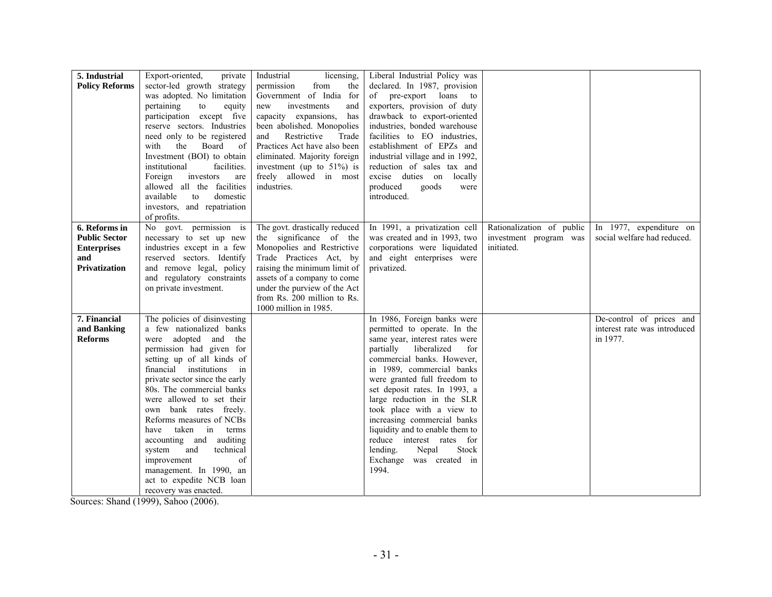| 5. Industrial         | Export-oriented,<br>private    | Industrial<br>licensing,      | Liberal Industrial Policy was   |                           |                              |
|-----------------------|--------------------------------|-------------------------------|---------------------------------|---------------------------|------------------------------|
| <b>Policy Reforms</b> | sector-led growth strategy     | permission<br>from<br>the     | declared. In 1987, provision    |                           |                              |
|                       | was adopted. No limitation     | Government of India for       | of pre-export loans to          |                           |                              |
|                       | pertaining<br>to<br>equity     | investments<br>and<br>new     | exporters, provision of duty    |                           |                              |
|                       | participation except five      | capacity expansions,<br>has   | drawback to export-oriented     |                           |                              |
|                       | reserve sectors. Industries    | been abolished. Monopolies    | industries, bonded warehouse    |                           |                              |
|                       | need only to be registered     | Restrictive<br>and<br>Trade   | facilities to EO industries,    |                           |                              |
|                       | with<br>the<br>Board<br>- of   | Practices Act have also been  | establishment of EPZs and       |                           |                              |
|                       | Investment (BOI) to obtain     | eliminated. Majority foreign  | industrial village and in 1992, |                           |                              |
|                       | institutional<br>facilities.   | investment (up to $51\%$ ) is | reduction of sales tax and      |                           |                              |
|                       | Foreign<br>investors<br>are    | freely allowed in most        | excise duties on locally        |                           |                              |
|                       | allowed all the facilities     | industries.                   | produced<br>goods<br>were       |                           |                              |
|                       | available<br>domestic<br>to    |                               | introduced.                     |                           |                              |
|                       | investors, and repatriation    |                               |                                 |                           |                              |
|                       | of profits.                    |                               |                                 |                           |                              |
| 6. Reforms in         | No govt. permission is         | The govt. drastically reduced | In 1991, a privatization cell   | Rationalization of public | In 1977, expenditure on      |
| <b>Public Sector</b>  | necessary to set up new        | the significance of the       | was created and in 1993, two    | investment program was    | social welfare had reduced.  |
| <b>Enterprises</b>    | industries except in a few     | Monopolies and Restrictive    | corporations were liquidated    | initiated.                |                              |
| and                   | reserved sectors. Identify     | Trade Practices Act, by       | and eight enterprises were      |                           |                              |
| <b>Privatization</b>  | and remove legal, policy       | raising the minimum limit of  | privatized.                     |                           |                              |
|                       | and regulatory constraints     | assets of a company to come   |                                 |                           |                              |
|                       | on private investment.         | under the purview of the Act  |                                 |                           |                              |
|                       |                                | from Rs. 200 million to Rs.   |                                 |                           |                              |
|                       |                                | 1000 million in 1985.         |                                 |                           |                              |
| 7. Financial          | The policies of disinvesting   |                               | In 1986, Foreign banks were     |                           | De-control of prices and     |
| and Banking           | a few nationalized banks       |                               | permitted to operate. In the    |                           | interest rate was introduced |
| <b>Reforms</b>        | were adopted and the           |                               | same year, interest rates were  |                           | in 1977.                     |
|                       | permission had given for       |                               | partially<br>liberalized<br>for |                           |                              |
|                       | setting up of all kinds of     |                               | commercial banks. However,      |                           |                              |
|                       | financial institutions in      |                               | in 1989, commercial banks       |                           |                              |
|                       | private sector since the early |                               | were granted full freedom to    |                           |                              |
|                       | 80s. The commercial banks      |                               | set deposit rates. In 1993, a   |                           |                              |
|                       | were allowed to set their      |                               | large reduction in the SLR      |                           |                              |
|                       | own bank rates freely.         |                               | took place with a view to       |                           |                              |
|                       | Reforms measures of NCBs       |                               | increasing commercial banks     |                           |                              |
|                       | taken in terms<br>have         |                               | liquidity and to enable them to |                           |                              |
|                       | accounting and auditing        |                               | reduce interest rates for       |                           |                              |
|                       | system and<br>technical        |                               | Stock<br>lending.<br>Nepal      |                           |                              |
|                       | of<br>improvement              |                               | Exchange was created in         |                           |                              |
|                       | management. In 1990, an        |                               | 1994.                           |                           |                              |
|                       | act to expedite NCB loan       |                               |                                 |                           |                              |
|                       | recovery was enacted.          |                               |                                 |                           |                              |

Sources: Shand (1999), Sahoo (2006).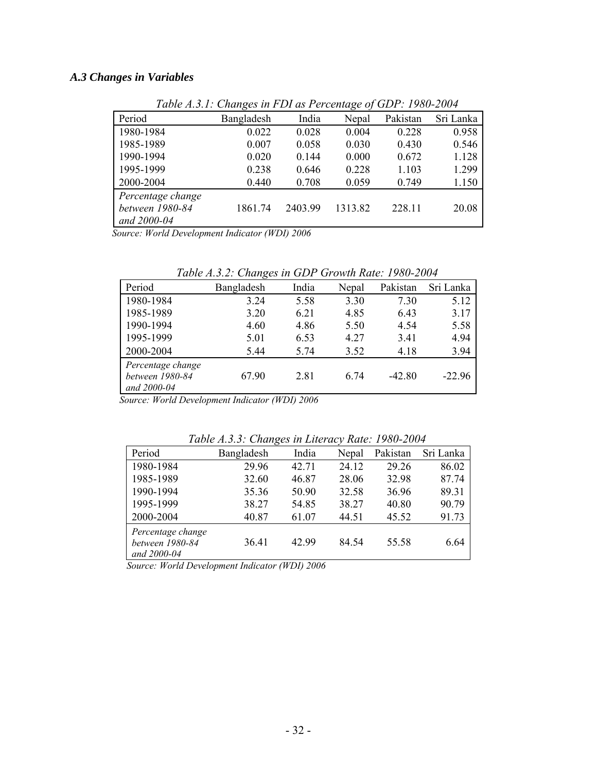# *A.3 Changes in Variables*

|                   | Twore <i>11.3.1</i> , Changes in T D1 as I Creeninge of GD1, 1900 2007 |         |         |          |           |
|-------------------|------------------------------------------------------------------------|---------|---------|----------|-----------|
| Period            | Bangladesh                                                             | India   | Nepal   | Pakistan | Sri Lanka |
| 1980-1984         | 0.022                                                                  | 0.028   | 0.004   | 0.228    | 0.958     |
| 1985-1989         | 0.007                                                                  | 0.058   | 0.030   | 0.430    | 0.546     |
| 1990-1994         | 0.020                                                                  | 0.144   | 0.000   | 0.672    | 1.128     |
| 1995-1999         | 0.238                                                                  | 0.646   | 0.228   | 1.103    | 1.299     |
| 2000-2004         | 0.440                                                                  | 0.708   | 0.059   | 0.749    | 1.150     |
| Percentage change |                                                                        |         |         |          |           |
| between 1980-84   | 1861.74                                                                | 2403.99 | 1313.82 | 228.11   | 20.08     |
| and 2000-04       |                                                                        |         |         |          |           |

*Table A.3.1: Changes in FDI as Percentage of GDP: 1980-2004* 

*Source: World Development Indicator (WDI) 2006* 

*Table A.3.2: Changes in GDP Growth Rate: 1980-2004* 

| Period                                              | Bangladesh | India | Nepal | Pakistan | Sri Lanka |
|-----------------------------------------------------|------------|-------|-------|----------|-----------|
| 1980-1984                                           | 3.24       | 5.58  | 3.30  | 7.30     | 5.12      |
| 1985-1989                                           | 3.20       | 6.21  | 4.85  | 6.43     | 3.17      |
| 1990-1994                                           | 4.60       | 4.86  | 5.50  | 4.54     | 5.58      |
| 1995-1999                                           | 5.01       | 6.53  | 4.27  | 3.41     | 4.94      |
| 2000-2004                                           | 5.44       | 5.74  | 3.52  | 4.18     | 3.94      |
| Percentage change<br>between 1980-84<br>and 2000-04 | 67.90      | 2.81  | 6.74  | $-42.80$ | $-22.96$  |

*Source: World Development Indicator (WDI) 2006* 

*Table A.3.3: Changes in Literacy Rate: 1980-2004* 

|                                                     | Tuble A.J.J. Changes in Literacy Rule. 1700-2004 |       |       |          |           |
|-----------------------------------------------------|--------------------------------------------------|-------|-------|----------|-----------|
| Period                                              | Bangladesh                                       | India | Nepal | Pakistan | Sri Lanka |
| 1980-1984                                           | 29.96                                            | 42.71 | 24.12 | 29 26    | 86.02     |
| 1985-1989                                           | 32.60                                            | 46.87 | 28.06 | 32.98    | 87.74     |
| 1990-1994                                           | 35.36                                            | 50.90 | 32.58 | 36.96    | 89.31     |
| 1995-1999                                           | 38.27                                            | 54.85 | 38.27 | 40.80    | 90.79     |
| 2000-2004                                           | 40.87                                            | 61.07 | 44.51 | 45.52    | 91.73     |
| Percentage change<br>between 1980-84<br>and 2000-04 | 36.41                                            | 42.99 | 84.54 | 55.58    | 6.64      |

*Source: World Development Indicator (WDI) 2006*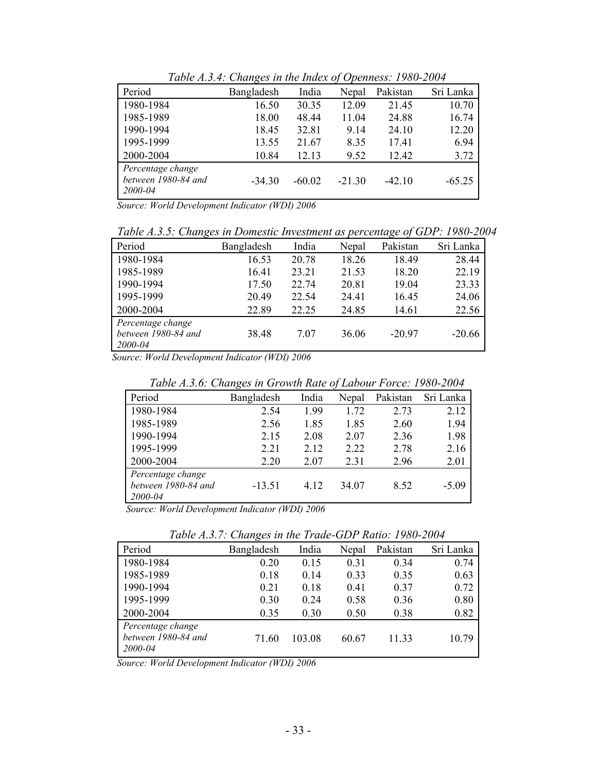| Period                                              | Bangladesh | India    | Nepal    | Pakistan | Sri Lanka |
|-----------------------------------------------------|------------|----------|----------|----------|-----------|
| 1980-1984                                           | 16.50      | 30.35    | 12.09    | 21.45    | 10.70     |
| 1985-1989                                           | 18.00      | 48.44    | 11.04    | 24.88    | 16.74     |
| 1990-1994                                           | 18.45      | 32.81    | 9.14     | 24.10    | 12.20     |
| 1995-1999                                           | 13.55      | 21.67    | 8.35     | 17.41    | 6.94      |
| 2000-2004                                           | 10.84      | 12.13    | 9.52     | 12.42    | 3.72      |
| Percentage change<br>between 1980-84 and<br>2000-04 | $-34.30$   | $-60.02$ | $-21.30$ | $-42.10$ | $-65.25$  |

*Table A.3.4: Changes in the Index of Openness: 1980-2004* 

*Source: World Development Indicator (WDI) 2006* 

*Table A.3.5: Changes in Domestic Investment as percentage of GDP: 1980-2004* 

| Period                                              | Bangladesh | India | Nepal | Pakistan | Sri Lanka |
|-----------------------------------------------------|------------|-------|-------|----------|-----------|
| 1980-1984                                           | 16.53      | 20.78 | 18.26 | 18.49    | 28.44     |
| 1985-1989                                           | 16.41      | 23.21 | 21.53 | 18.20    | 22.19     |
| 1990-1994                                           | 17.50      | 22 74 | 20.81 | 19.04    | 23.33     |
| 1995-1999                                           | 20.49      | 22.54 | 24.41 | 16.45    | 24.06     |
| 2000-2004                                           | 22.89      | 22.25 | 24.85 | 14.61    | 22.56     |
| Percentage change<br>between 1980-84 and<br>2000-04 | 38.48      | 7.07  | 36.06 | $-20.97$ | $-20.66$  |

*Source: World Development Indicator (WDI) 2006* 

*Table A.3.6: Changes in Growth Rate of Labour Force: 1980-2004* 

| Period                                              | Bangladesh | India | Nepal | Pakistan | Sri Lanka |
|-----------------------------------------------------|------------|-------|-------|----------|-----------|
| 1980-1984                                           | 2.54       | 1.99  | 1.72  | 2.73     | 2.12      |
| 1985-1989                                           | 2.56       | 1.85  | 1.85  | 2.60     | 1.94      |
| 1990-1994                                           | 2.15       | 2.08  | 2.07  | 2.36     | 1.98      |
| 1995-1999                                           | 2.21       | 2.12  | 2.22  | 2.78     | 2.16      |
| 2000-2004                                           | 2.20       | 2.07  | 2.31  | 2.96     | 2.01      |
| Percentage change<br>between 1980-84 and<br>2000-04 | $-13.51$   | 4.12  | 34.07 | 8.52     | $-5.09$   |

*Source: World Development Indicator (WDI) 2006* 

*Table A.3.7: Changes in the Trade-GDP Ratio: 1980-2004* 

| Period                                              | Bangladesh | India  | Nepal | Pakistan | Sri Lanka |
|-----------------------------------------------------|------------|--------|-------|----------|-----------|
| 1980-1984                                           | 0.20       | 0.15   | 0.31  | 0.34     | 0.74      |
| 1985-1989                                           | 0.18       | 0.14   | 0.33  | 0.35     | 0.63      |
| 1990-1994                                           | 0.21       | 0.18   | 0.41  | 0.37     | 0.72      |
| 1995-1999                                           | 0.30       | 0.24   | 0.58  | 0.36     | 0.80      |
| 2000-2004                                           | 0.35       | 0.30   | 0.50  | 0.38     | 0.82      |
| Percentage change<br>between 1980-84 and<br>2000-04 | 71.60      | 103.08 | 60.67 | 11.33    | 10.79     |

*Source: World Development Indicator (WDI) 2006*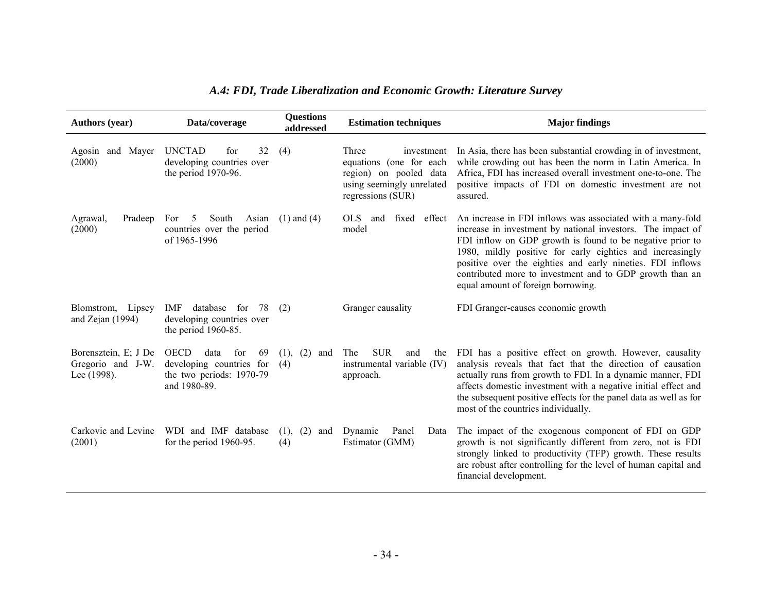| <b>Authors</b> (year)                                    | Data/coverage                                                                                            | <b>Questions</b><br>addressed | <b>Estimation techniques</b>                                                                                               | <b>Major findings</b>                                                                                                                                                                                                                                                                                                                                                                                               |
|----------------------------------------------------------|----------------------------------------------------------------------------------------------------------|-------------------------------|----------------------------------------------------------------------------------------------------------------------------|---------------------------------------------------------------------------------------------------------------------------------------------------------------------------------------------------------------------------------------------------------------------------------------------------------------------------------------------------------------------------------------------------------------------|
| and Mayer<br>Agosin<br>(2000)                            | <b>UNCTAD</b><br>32<br>for<br>developing countries over<br>the period 1970-96.                           | (4)                           | Three<br>investment<br>equations (one for each<br>region) on pooled data<br>using seemingly unrelated<br>regressions (SUR) | In Asia, there has been substantial crowding in of investment,<br>while crowding out has been the norm in Latin America. In<br>Africa, FDI has increased overall investment one-to-one. The<br>positive impacts of FDI on domestic investment are not<br>assured.                                                                                                                                                   |
| Agrawal,<br>Pradeep<br>(2000)                            | South<br>For<br>.5<br>Asian<br>countries over the period<br>of 1965-1996                                 | $(1)$ and $(4)$               | OLS and fixed effect<br>model                                                                                              | An increase in FDI inflows was associated with a many-fold<br>increase in investment by national investors. The impact of<br>FDI inflow on GDP growth is found to be negative prior to<br>1980, mildly positive for early eighties and increasingly<br>positive over the eighties and early nineties. FDI inflows<br>contributed more to investment and to GDP growth than an<br>equal amount of foreign borrowing. |
| Blomstrom, Lipsey<br>and Zejan $(1994)$                  | database for 78<br>IMF<br>developing countries over<br>the period 1960-85.                               | (2)                           | Granger causality                                                                                                          | FDI Granger-causes economic growth                                                                                                                                                                                                                                                                                                                                                                                  |
| Borensztein, E; J De<br>Gregorio and J-W.<br>Lee (1998). | <b>OECD</b><br>data<br>for<br>69<br>developing countries for<br>the two periods: 1970-79<br>and 1980-89. | (2)<br>(1),<br>and<br>(4)     | <b>SUR</b><br>The<br>and<br>the<br>instrumental variable (IV)<br>approach.                                                 | FDI has a positive effect on growth. However, causality<br>analysis reveals that fact that the direction of causation<br>actually runs from growth to FDI. In a dynamic manner, FDI<br>affects domestic investment with a negative initial effect and<br>the subsequent positive effects for the panel data as well as for<br>most of the countries individually.                                                   |
| Carkovic and Levine<br>(2001)                            | WDI and IMF database<br>for the period 1960-95.                                                          | (2)<br>(1),<br>and<br>(4)     | Dynamic<br>Panel<br>Data<br>Estimator (GMM)                                                                                | The impact of the exogenous component of FDI on GDP<br>growth is not significantly different from zero, not is FDI<br>strongly linked to productivity (TFP) growth. These results<br>are robust after controlling for the level of human capital and<br>financial development.                                                                                                                                      |

# *A.4: FDI, Trade Liberalization and Economic Growth: Literature Survey*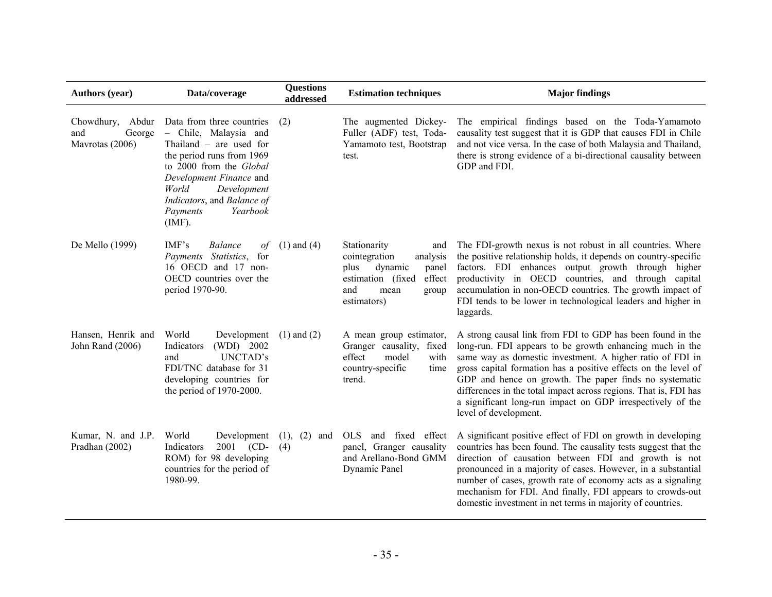| <b>Authors (year)</b>                                | Data/coverage                                                                                                                                                                                                                                              | <b>Questions</b><br>addressed | <b>Estimation techniques</b>                                                                                                                       | <b>Major findings</b>                                                                                                                                                                                                                                                                                                                                                                                                                                                      |
|------------------------------------------------------|------------------------------------------------------------------------------------------------------------------------------------------------------------------------------------------------------------------------------------------------------------|-------------------------------|----------------------------------------------------------------------------------------------------------------------------------------------------|----------------------------------------------------------------------------------------------------------------------------------------------------------------------------------------------------------------------------------------------------------------------------------------------------------------------------------------------------------------------------------------------------------------------------------------------------------------------------|
| Chowdhury, Abdur<br>George<br>and<br>Mavrotas (2006) | Data from three countries<br>- Chile, Malaysia and<br>Thailand $-$ are used for<br>the period runs from 1969<br>to 2000 from the Global<br>Development Finance and<br>World<br>Development<br>Indicators, and Balance of<br>Payments<br>Yearbook<br>(IMF). | (2)                           | The augmented Dickey-<br>Fuller (ADF) test, Toda-<br>Yamamoto test, Bootstrap<br>test.                                                             | The empirical findings based on the Toda-Yamamoto<br>causality test suggest that it is GDP that causes FDI in Chile<br>and not vice versa. In the case of both Malaysia and Thailand,<br>there is strong evidence of a bi-directional causality between<br>GDP and FDI.                                                                                                                                                                                                    |
| De Mello (1999)                                      | IMF's<br><b>Balance</b><br>of<br>Payments Statistics, for<br>16 OECD and 17 non-<br>OECD countries over the<br>period 1970-90.                                                                                                                             | $(1)$ and $(4)$               | Stationarity<br>and<br>cointegration<br>analysis<br>dynamic<br>plus<br>panel<br>estimation (fixed<br>effect<br>and<br>mean<br>group<br>estimators) | The FDI-growth nexus is not robust in all countries. Where<br>the positive relationship holds, it depends on country-specific<br>factors. FDI enhances output growth through higher<br>productivity in OECD countries, and through capital<br>accumulation in non-OECD countries. The growth impact of<br>FDI tends to be lower in technological leaders and higher in<br>laggards.                                                                                        |
| Hansen, Henrik and<br>John Rand (2006)               | World<br>Development<br>(WDI) 2002<br>Indicators<br>UNCTAD's<br>and<br>FDI/TNC database for 31<br>developing countries for<br>the period of 1970-2000.                                                                                                     | $(1)$ and $(2)$               | A mean group estimator,<br>Granger causality, fixed<br>effect<br>model<br>with<br>country-specific<br>time<br>trend.                               | A strong causal link from FDI to GDP has been found in the<br>long-run. FDI appears to be growth enhancing much in the<br>same way as domestic investment. A higher ratio of FDI in<br>gross capital formation has a positive effects on the level of<br>GDP and hence on growth. The paper finds no systematic<br>differences in the total impact across regions. That is, FDI has<br>a significant long-run impact on GDP irrespectively of the<br>level of development. |
| Kumar, N. and J.P.<br>Pradhan (2002)                 | World<br>Development<br>2001 (CD-<br>Indicators<br>ROM) for 98 developing<br>countries for the period of<br>1980-99.                                                                                                                                       | $(1), (2)$ and<br>(4)         | and fixed effect<br>OLS -<br>panel, Granger causality<br>and Arellano-Bond GMM<br>Dynamic Panel                                                    | A significant positive effect of FDI on growth in developing<br>countries has been found. The causality tests suggest that the<br>direction of causation between FDI and growth is not<br>pronounced in a majority of cases. However, in a substantial<br>number of cases, growth rate of economy acts as a signaling<br>mechanism for FDI. And finally, FDI appears to crowds-out<br>domestic investment in net terms in majority of countries.                           |